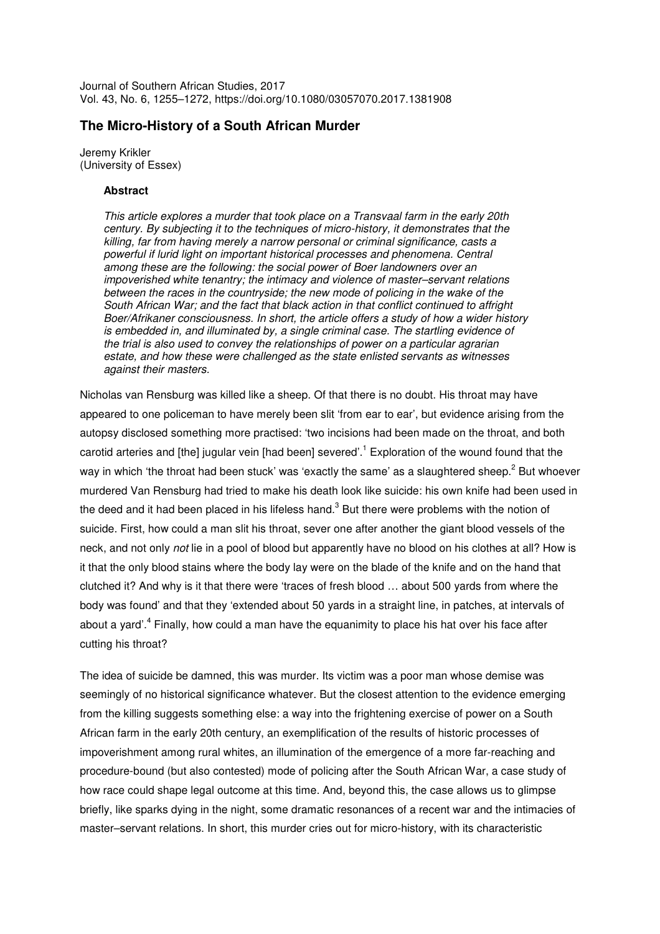Journal of Southern African Studies, 2017 Vol. 43, No. 6, 1255–1272, https://doi.org/10.1080/03057070.2017.1381908

## **The Micro-History of a South African Murder**

Jeremy Krikler (University of Essex)

#### **Abstract**

*This article explores a murder that took place on a Transvaal farm in the early 20th century. By subjecting it to the techniques of micro-history, it demonstrates that the killing, far from having merely a narrow personal or criminal significance, casts a powerful if lurid light on important historical processes and phenomena. Central among these are the following: the social power of Boer landowners over an impoverished white tenantry; the intimacy and violence of master–servant relations between the races in the countryside; the new mode of policing in the wake of the South African War; and the fact that black action in that conflict continued to affright Boer/Afrikaner consciousness. In short, the article offers a study of how a wider history is embedded in, and illuminated by, a single criminal case. The startling evidence of the trial is also used to convey the relationships of power on a particular agrarian estate, and how these were challenged as the state enlisted servants as witnesses against their masters.* 

Nicholas van Rensburg was killed like a sheep. Of that there is no doubt. His throat may have appeared to one policeman to have merely been slit 'from ear to ear', but evidence arising from the autopsy disclosed something more practised: 'two incisions had been made on the throat, and both carotid arteries and [the] jugular vein [had been] severed'.<sup>1</sup> Exploration of the wound found that the way in which 'the throat had been stuck' was 'exactly the same' as a slaughtered sheep.<sup>2</sup> But whoever murdered Van Rensburg had tried to make his death look like suicide: his own knife had been used in the deed and it had been placed in his lifeless hand.<sup>3</sup> But there were problems with the notion of suicide. First, how could a man slit his throat, sever one after another the giant blood vessels of the neck, and not only *not* lie in a pool of blood but apparently have no blood on his clothes at all? How is it that the only blood stains where the body lay were on the blade of the knife and on the hand that clutched it? And why is it that there were 'traces of fresh blood … about 500 yards from where the body was found' and that they 'extended about 50 yards in a straight line, in patches, at intervals of about a yard'.<sup>4</sup> Finally, how could a man have the equanimity to place his hat over his face after cutting his throat?

The idea of suicide be damned, this was murder. Its victim was a poor man whose demise was seemingly of no historical significance whatever. But the closest attention to the evidence emerging from the killing suggests something else: a way into the frightening exercise of power on a South African farm in the early 20th century, an exemplification of the results of historic processes of impoverishment among rural whites, an illumination of the emergence of a more far-reaching and procedure-bound (but also contested) mode of policing after the South African War, a case study of how race could shape legal outcome at this time. And, beyond this, the case allows us to glimpse briefly, like sparks dying in the night, some dramatic resonances of a recent war and the intimacies of master–servant relations. In short, this murder cries out for micro-history, with its characteristic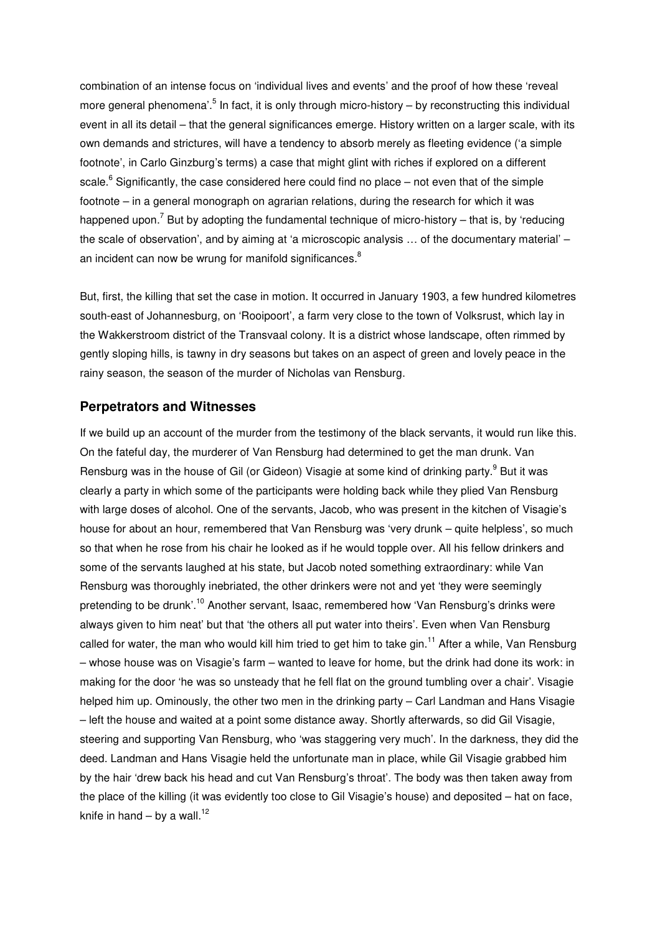combination of an intense focus on 'individual lives and events' and the proof of how these 'reveal more general phenomena'.<sup>5</sup> In fact, it is only through micro-history – by reconstructing this individual event in all its detail – that the general significances emerge. History written on a larger scale, with its own demands and strictures, will have a tendency to absorb merely as fleeting evidence ('a simple footnote', in Carlo Ginzburg's terms) a case that might glint with riches if explored on a different scale. $^6$  Significantly, the case considered here could find no place – not even that of the simple footnote – in a general monograph on agrarian relations, during the research for which it was happened upon.<sup>7</sup> But by adopting the fundamental technique of micro-history – that is, by 'reducing the scale of observation', and by aiming at 'a microscopic analysis … of the documentary material' – an incident can now be wrung for manifold significances.<sup>8</sup>

But, first, the killing that set the case in motion. It occurred in January 1903, a few hundred kilometres south-east of Johannesburg, on 'Rooipoort', a farm very close to the town of Volksrust, which lay in the Wakkerstroom district of the Transvaal colony. It is a district whose landscape, often rimmed by gently sloping hills, is tawny in dry seasons but takes on an aspect of green and lovely peace in the rainy season, the season of the murder of Nicholas van Rensburg.

#### **Perpetrators and Witnesses**

If we build up an account of the murder from the testimony of the black servants, it would run like this. On the fateful day, the murderer of Van Rensburg had determined to get the man drunk. Van Rensburg was in the house of Gil (or Gideon) Visagie at some kind of drinking party.<sup>9</sup> But it was clearly a party in which some of the participants were holding back while they plied Van Rensburg with large doses of alcohol. One of the servants, Jacob, who was present in the kitchen of Visagie's house for about an hour, remembered that Van Rensburg was 'very drunk – quite helpless', so much so that when he rose from his chair he looked as if he would topple over. All his fellow drinkers and some of the servants laughed at his state, but Jacob noted something extraordinary: while Van Rensburg was thoroughly inebriated, the other drinkers were not and yet 'they were seemingly pretending to be drunk'.<sup>10</sup> Another servant, Isaac, remembered how 'Van Rensburg's drinks were always given to him neat' but that 'the others all put water into theirs'. Even when Van Rensburg called for water, the man who would kill him tried to get him to take gin.<sup>11</sup> After a while, Van Rensburg – whose house was on Visagie's farm – wanted to leave for home, but the drink had done its work: in making for the door 'he was so unsteady that he fell flat on the ground tumbling over a chair'. Visagie helped him up. Ominously, the other two men in the drinking party – Carl Landman and Hans Visagie – left the house and waited at a point some distance away. Shortly afterwards, so did Gil Visagie, steering and supporting Van Rensburg, who 'was staggering very much'. In the darkness, they did the deed. Landman and Hans Visagie held the unfortunate man in place, while Gil Visagie grabbed him by the hair 'drew back his head and cut Van Rensburg's throat'. The body was then taken away from the place of the killing (it was evidently too close to Gil Visagie's house) and deposited – hat on face, knife in hand – by a wall.<sup>12</sup>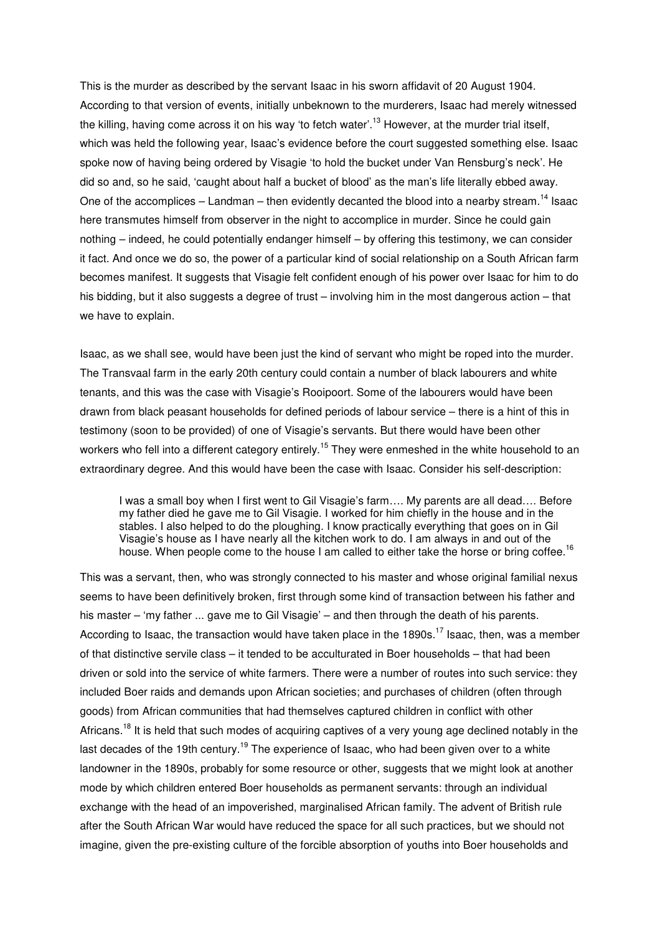This is the murder as described by the servant Isaac in his sworn affidavit of 20 August 1904. According to that version of events, initially unbeknown to the murderers, Isaac had merely witnessed the killing, having come across it on his way 'to fetch water'.<sup>13</sup> However, at the murder trial itself, which was held the following year, Isaac's evidence before the court suggested something else. Isaac spoke now of having being ordered by Visagie 'to hold the bucket under Van Rensburg's neck'. He did so and, so he said, 'caught about half a bucket of blood' as the man's life literally ebbed away. One of the accomplices – Landman – then evidently decanted the blood into a nearby stream.<sup>14</sup> Isaac here transmutes himself from observer in the night to accomplice in murder. Since he could gain nothing – indeed, he could potentially endanger himself – by offering this testimony, we can consider it fact. And once we do so, the power of a particular kind of social relationship on a South African farm becomes manifest. It suggests that Visagie felt confident enough of his power over Isaac for him to do his bidding, but it also suggests a degree of trust – involving him in the most dangerous action – that we have to explain.

Isaac, as we shall see, would have been just the kind of servant who might be roped into the murder. The Transvaal farm in the early 20th century could contain a number of black labourers and white tenants, and this was the case with Visagie's Rooipoort. Some of the labourers would have been drawn from black peasant households for defined periods of labour service – there is a hint of this in testimony (soon to be provided) of one of Visagie's servants. But there would have been other workers who fell into a different category entirely.<sup>15</sup> They were enmeshed in the white household to an extraordinary degree. And this would have been the case with Isaac. Consider his self-description:

I was a small boy when I first went to Gil Visagie's farm…. My parents are all dead…. Before my father died he gave me to Gil Visagie. I worked for him chiefly in the house and in the stables. I also helped to do the ploughing. I know practically everything that goes on in Gil Visagie's house as I have nearly all the kitchen work to do. I am always in and out of the house. When people come to the house I am called to either take the horse or bring coffee.<sup>16</sup>

This was a servant, then, who was strongly connected to his master and whose original familial nexus seems to have been definitively broken, first through some kind of transaction between his father and his master – 'my father ... gave me to Gil Visagie' – and then through the death of his parents. According to Isaac, the transaction would have taken place in the 1890s.<sup>17</sup> Isaac, then, was a member of that distinctive servile class – it tended to be acculturated in Boer households – that had been driven or sold into the service of white farmers. There were a number of routes into such service: they included Boer raids and demands upon African societies; and purchases of children (often through goods) from African communities that had themselves captured children in conflict with other Africans.<sup>18</sup> It is held that such modes of acquiring captives of a very young age declined notably in the last decades of the 19th century.<sup>19</sup> The experience of Isaac, who had been given over to a white landowner in the 1890s, probably for some resource or other, suggests that we might look at another mode by which children entered Boer households as permanent servants: through an individual exchange with the head of an impoverished, marginalised African family. The advent of British rule after the South African War would have reduced the space for all such practices, but we should not imagine, given the pre-existing culture of the forcible absorption of youths into Boer households and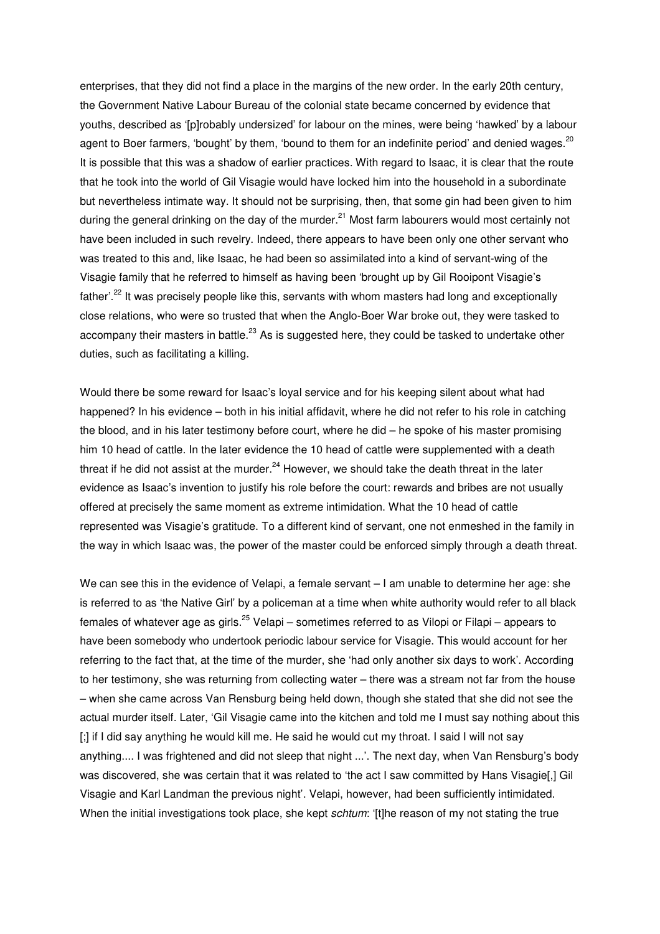enterprises, that they did not find a place in the margins of the new order. In the early 20th century, the Government Native Labour Bureau of the colonial state became concerned by evidence that youths, described as '[p]robably undersized' for labour on the mines, were being 'hawked' by a labour agent to Boer farmers, 'bought' by them, 'bound to them for an indefinite period' and denied wages.<sup>20</sup> It is possible that this was a shadow of earlier practices. With regard to Isaac, it is clear that the route that he took into the world of Gil Visagie would have locked him into the household in a subordinate but nevertheless intimate way. It should not be surprising, then, that some gin had been given to him during the general drinking on the day of the murder.<sup>21</sup> Most farm labourers would most certainly not have been included in such revelry. Indeed, there appears to have been only one other servant who was treated to this and, like Isaac, he had been so assimilated into a kind of servant-wing of the Visagie family that he referred to himself as having been 'brought up by Gil Rooipont Visagie's father'.<sup>22</sup> It was precisely people like this, servants with whom masters had long and exceptionally close relations, who were so trusted that when the Anglo-Boer War broke out, they were tasked to accompany their masters in battle.<sup>23</sup> As is suggested here, they could be tasked to undertake other duties, such as facilitating a killing.

Would there be some reward for Isaac's loyal service and for his keeping silent about what had happened? In his evidence – both in his initial affidavit, where he did not refer to his role in catching the blood, and in his later testimony before court, where he did – he spoke of his master promising him 10 head of cattle. In the later evidence the 10 head of cattle were supplemented with a death threat if he did not assist at the murder.<sup>24</sup> However, we should take the death threat in the later evidence as Isaac's invention to justify his role before the court: rewards and bribes are not usually offered at precisely the same moment as extreme intimidation. What the 10 head of cattle represented was Visagie's gratitude. To a different kind of servant, one not enmeshed in the family in the way in which Isaac was, the power of the master could be enforced simply through a death threat.

We can see this in the evidence of Velapi, a female servant – I am unable to determine her age: she is referred to as 'the Native Girl' by a policeman at a time when white authority would refer to all black females of whatever age as girls.<sup>25</sup> Velapi – sometimes referred to as Vilopi or Filapi – appears to have been somebody who undertook periodic labour service for Visagie. This would account for her referring to the fact that, at the time of the murder, she 'had only another six days to work'. According to her testimony, she was returning from collecting water – there was a stream not far from the house – when she came across Van Rensburg being held down, though she stated that she did not see the actual murder itself. Later, 'Gil Visagie came into the kitchen and told me I must say nothing about this [;] if I did say anything he would kill me. He said he would cut my throat. I said I will not say anything.... I was frightened and did not sleep that night ...'. The next day, when Van Rensburg's body was discovered, she was certain that it was related to 'the act I saw committed by Hans Visagie[,] Gil Visagie and Karl Landman the previous night'. Velapi, however, had been sufficiently intimidated. When the initial investigations took place, she kept *schtum*: '[t]he reason of my not stating the true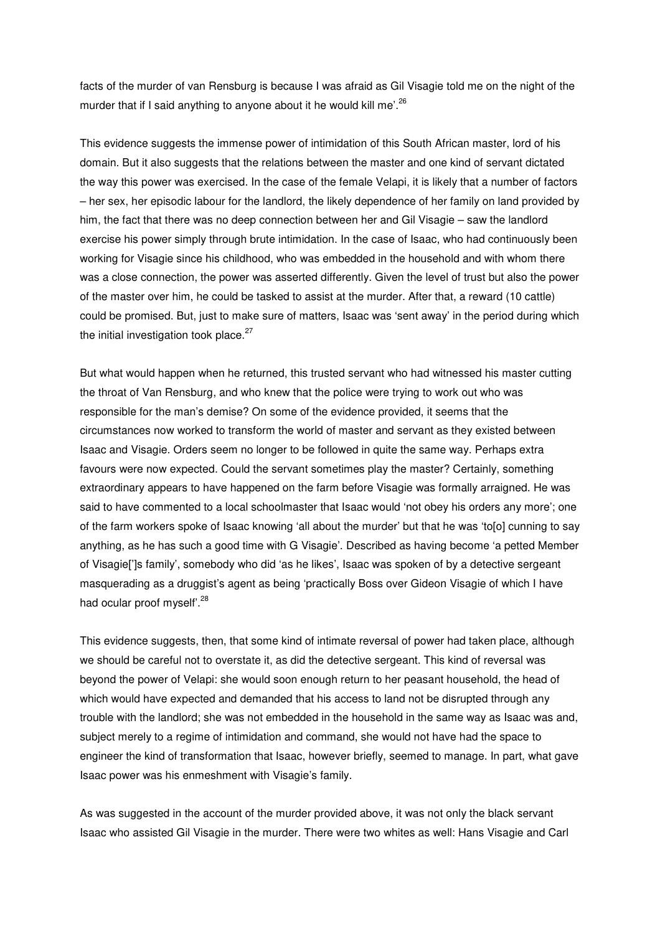facts of the murder of van Rensburg is because I was afraid as Gil Visagie told me on the night of the murder that if I said anything to anyone about it he would kill me'.<sup>26</sup>

This evidence suggests the immense power of intimidation of this South African master, lord of his domain. But it also suggests that the relations between the master and one kind of servant dictated the way this power was exercised. In the case of the female Velapi, it is likely that a number of factors – her sex, her episodic labour for the landlord, the likely dependence of her family on land provided by him, the fact that there was no deep connection between her and Gil Visagie – saw the landlord exercise his power simply through brute intimidation. In the case of Isaac, who had continuously been working for Visagie since his childhood, who was embedded in the household and with whom there was a close connection, the power was asserted differently. Given the level of trust but also the power of the master over him, he could be tasked to assist at the murder. After that, a reward (10 cattle) could be promised. But, just to make sure of matters, Isaac was 'sent away' in the period during which the initial investigation took place. $27$ 

But what would happen when he returned, this trusted servant who had witnessed his master cutting the throat of Van Rensburg, and who knew that the police were trying to work out who was responsible for the man's demise? On some of the evidence provided, it seems that the circumstances now worked to transform the world of master and servant as they existed between Isaac and Visagie. Orders seem no longer to be followed in quite the same way. Perhaps extra favours were now expected. Could the servant sometimes play the master? Certainly, something extraordinary appears to have happened on the farm before Visagie was formally arraigned. He was said to have commented to a local schoolmaster that Isaac would 'not obey his orders any more'; one of the farm workers spoke of Isaac knowing 'all about the murder' but that he was 'to[o] cunning to say anything, as he has such a good time with G Visagie'. Described as having become 'a petted Member of Visagie[']s family', somebody who did 'as he likes', Isaac was spoken of by a detective sergeant masquerading as a druggist's agent as being 'practically Boss over Gideon Visagie of which I have had ocular proof myself'.<sup>28</sup>

This evidence suggests, then, that some kind of intimate reversal of power had taken place, although we should be careful not to overstate it, as did the detective sergeant. This kind of reversal was beyond the power of Velapi: she would soon enough return to her peasant household, the head of which would have expected and demanded that his access to land not be disrupted through any trouble with the landlord; she was not embedded in the household in the same way as Isaac was and, subject merely to a regime of intimidation and command, she would not have had the space to engineer the kind of transformation that Isaac, however briefly, seemed to manage. In part, what gave Isaac power was his enmeshment with Visagie's family.

As was suggested in the account of the murder provided above, it was not only the black servant Isaac who assisted Gil Visagie in the murder. There were two whites as well: Hans Visagie and Carl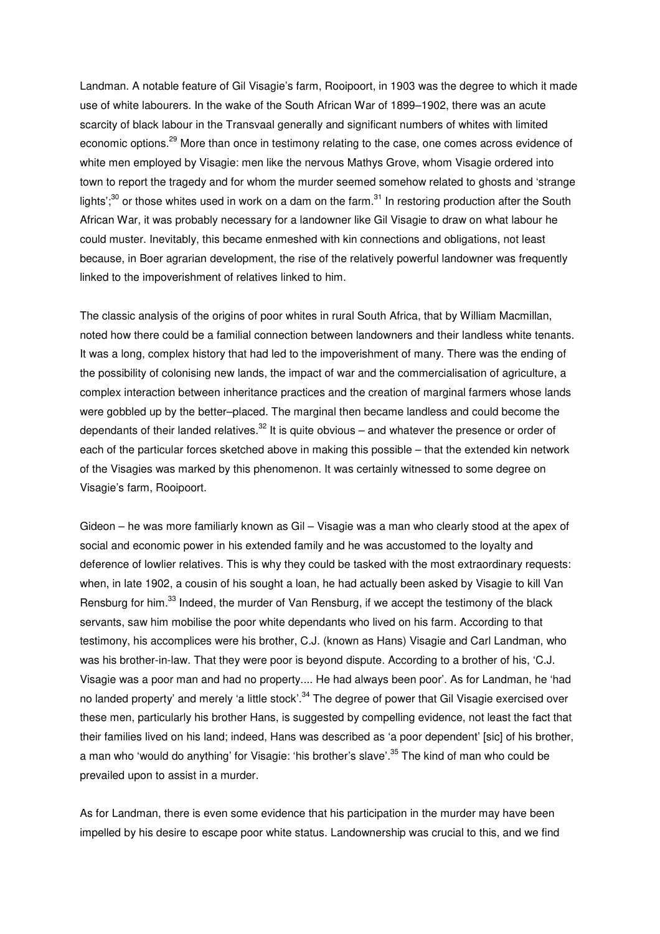Landman. A notable feature of Gil Visagie's farm, Rooipoort, in 1903 was the degree to which it made use of white labourers. In the wake of the South African War of 1899–1902, there was an acute scarcity of black labour in the Transvaal generally and significant numbers of whites with limited economic options.<sup>29</sup> More than once in testimony relating to the case, one comes across evidence of white men employed by Visagie: men like the nervous Mathys Grove, whom Visagie ordered into town to report the tragedy and for whom the murder seemed somehow related to ghosts and 'strange lights': $30$  or those whites used in work on a dam on the farm.  $31$  In restoring production after the South African War, it was probably necessary for a landowner like Gil Visagie to draw on what labour he could muster. Inevitably, this became enmeshed with kin connections and obligations, not least because, in Boer agrarian development, the rise of the relatively powerful landowner was frequently linked to the impoverishment of relatives linked to him.

The classic analysis of the origins of poor whites in rural South Africa, that by William Macmillan, noted how there could be a familial connection between landowners and their landless white tenants. It was a long, complex history that had led to the impoverishment of many. There was the ending of the possibility of colonising new lands, the impact of war and the commercialisation of agriculture, a complex interaction between inheritance practices and the creation of marginal farmers whose lands were gobbled up by the better–placed. The marginal then became landless and could become the dependants of their landed relatives.<sup>32</sup> It is quite obvious – and whatever the presence or order of each of the particular forces sketched above in making this possible – that the extended kin network of the Visagies was marked by this phenomenon. It was certainly witnessed to some degree on Visagie's farm, Rooipoort.

Gideon – he was more familiarly known as Gil – Visagie was a man who clearly stood at the apex of social and economic power in his extended family and he was accustomed to the loyalty and deference of lowlier relatives. This is why they could be tasked with the most extraordinary requests: when, in late 1902, a cousin of his sought a loan, he had actually been asked by Visagie to kill Van Rensburg for him.<sup>33</sup> Indeed, the murder of Van Rensburg, if we accept the testimony of the black servants, saw him mobilise the poor white dependants who lived on his farm. According to that testimony, his accomplices were his brother, C.J. (known as Hans) Visagie and Carl Landman, who was his brother-in-law. That they were poor is beyond dispute. According to a brother of his, 'C.J. Visagie was a poor man and had no property.... He had always been poor'. As for Landman, he 'had no landed property' and merely 'a little stock'.<sup>34</sup> The degree of power that Gil Visagie exercised over these men, particularly his brother Hans, is suggested by compelling evidence, not least the fact that their families lived on his land; indeed, Hans was described as 'a poor dependent' [sic] of his brother, a man who 'would do anything' for Visagie: 'his brother's slave'.<sup>35</sup> The kind of man who could be prevailed upon to assist in a murder.

As for Landman, there is even some evidence that his participation in the murder may have been impelled by his desire to escape poor white status. Landownership was crucial to this, and we find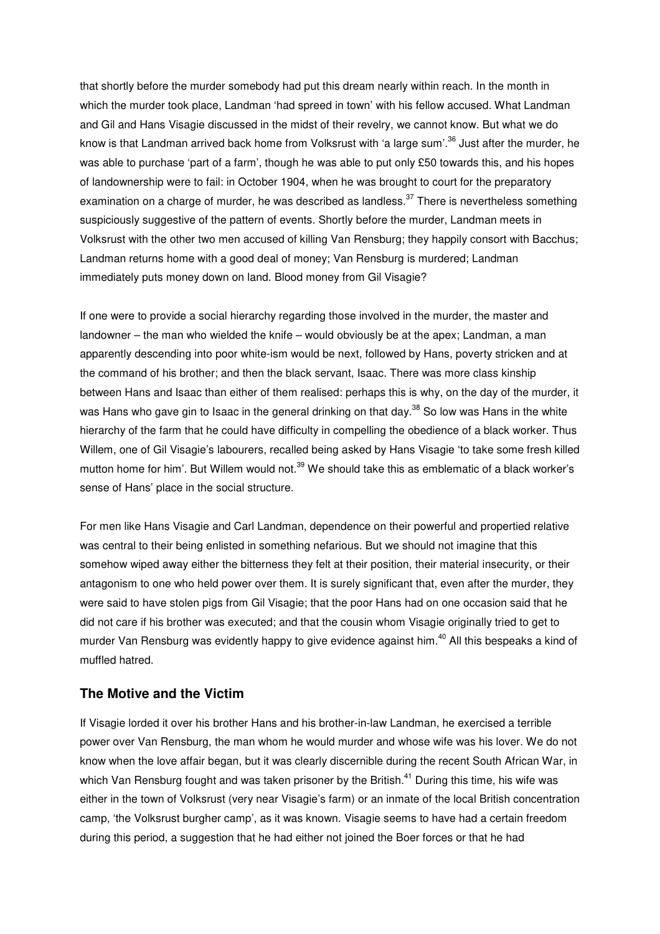that shortly before the murder somebody had put this dream nearly within reach. In the month in which the murder took place, Landman 'had spreed in town' with his fellow accused. What Landman and Gil and Hans Visagie discussed in the midst of their revelry, we cannot know. But what we do know is that Landman arrived back home from Volksrust with 'a large sum'.<sup>36</sup> Just after the murder, he was able to purchase 'part of a farm', though he was able to put only £50 towards this, and his hopes of landownership were to fail: in October 1904, when he was brought to court for the preparatory examination on a charge of murder, he was described as landless.<sup>37</sup> There is nevertheless something suspiciously suggestive of the pattern of events. Shortly before the murder, Landman meets in Volksrust with the other two men accused of killing Van Rensburg; they happily consort with Bacchus; Landman returns home with a good deal of money; Van Rensburg is murdered; Landman immediately puts money down on land. Blood money from Gil Visagie?

If one were to provide a social hierarchy regarding those involved in the murder, the master and landowner – the man who wielded the knife – would obviously be at the apex; Landman, a man apparently descending into poor white-ism would be next, followed by Hans, poverty stricken and at the command of his brother; and then the black servant, Isaac. There was more class kinship between Hans and Isaac than either of them realised: perhaps this is why, on the day of the murder, it was Hans who gave gin to Isaac in the general drinking on that day.<sup>38</sup> So low was Hans in the white hierarchy of the farm that he could have difficulty in compelling the obedience of a black worker. Thus Willem, one of Gil Visagie's labourers, recalled being asked by Hans Visagie 'to take some fresh killed mutton home for him'. But Willem would not.<sup>39</sup> We should take this as emblematic of a black worker's sense of Hans' place in the social structure.

For men like Hans Visagie and Carl Landman, dependence on their powerful and propertied relative was central to their being enlisted in something nefarious. But we should not imagine that this somehow wiped away either the bitterness they felt at their position, their material insecurity, or their antagonism to one who held power over them. It is surely significant that, even after the murder, they were said to have stolen pigs from Gil Visagie; that the poor Hans had on one occasion said that he did not care if his brother was executed; and that the cousin whom Visagie originally tried to get to murder Van Rensburg was evidently happy to give evidence against him.<sup>40</sup> All this bespeaks a kind of muffled hatred.

## **The Motive and the Victim**

If Visagie lorded it over his brother Hans and his brother-in-law Landman, he exercised a terrible power over Van Rensburg, the man whom he would murder and whose wife was his lover. We do not know when the love affair began, but it was clearly discernible during the recent South African War, in which Van Rensburg fought and was taken prisoner by the British.<sup>41</sup> During this time, his wife was either in the town of Volksrust (very near Visagie's farm) or an inmate of the local British concentration camp, 'the Volksrust burgher camp', as it was known. Visagie seems to have had a certain freedom during this period, a suggestion that he had either not joined the Boer forces or that he had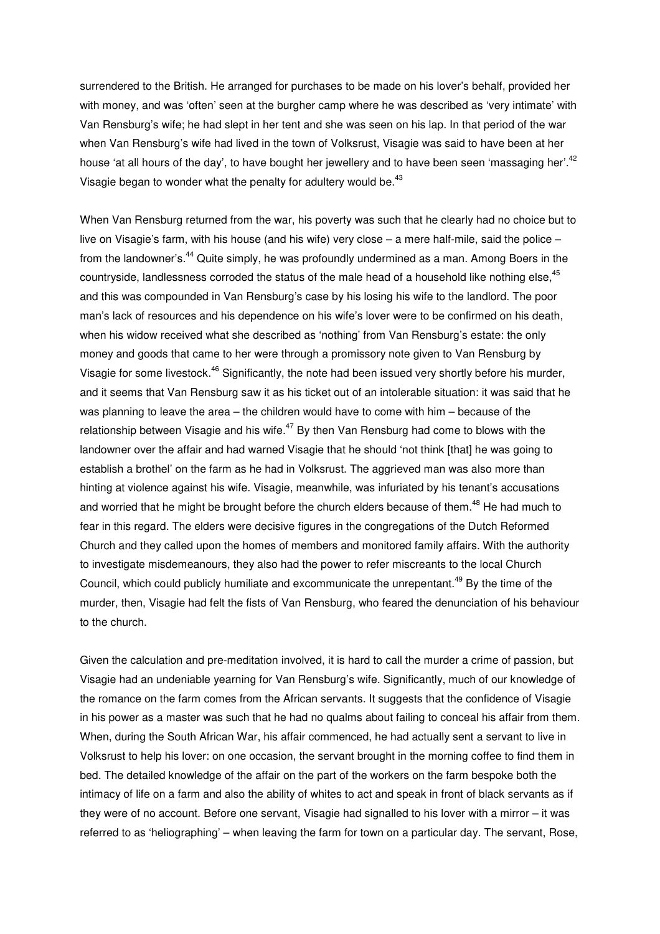surrendered to the British. He arranged for purchases to be made on his lover's behalf, provided her with money, and was 'often' seen at the burgher camp where he was described as 'very intimate' with Van Rensburg's wife; he had slept in her tent and she was seen on his lap. In that period of the war when Van Rensburg's wife had lived in the town of Volksrust, Visagie was said to have been at her house 'at all hours of the day', to have bought her jewellery and to have been seen 'massaging her'.<sup>42</sup> Visagie began to wonder what the penalty for adultery would be.<sup>43</sup>

When Van Rensburg returned from the war, his poverty was such that he clearly had no choice but to live on Visagie's farm, with his house (and his wife) very close – a mere half-mile, said the police – from the landowner's.<sup>44</sup> Quite simply, he was profoundly undermined as a man. Among Boers in the countryside, landlessness corroded the status of the male head of a household like nothing else.<sup>45</sup> and this was compounded in Van Rensburg's case by his losing his wife to the landlord. The poor man's lack of resources and his dependence on his wife's lover were to be confirmed on his death, when his widow received what she described as 'nothing' from Van Rensburg's estate: the only money and goods that came to her were through a promissory note given to Van Rensburg by Visagie for some livestock.<sup>46</sup> Significantly, the note had been issued very shortly before his murder, and it seems that Van Rensburg saw it as his ticket out of an intolerable situation: it was said that he was planning to leave the area – the children would have to come with him – because of the relationship between Visagie and his wife. $47$  By then Van Rensburg had come to blows with the landowner over the affair and had warned Visagie that he should 'not think [that] he was going to establish a brothel' on the farm as he had in Volksrust. The aggrieved man was also more than hinting at violence against his wife. Visagie, meanwhile, was infuriated by his tenant's accusations and worried that he might be brought before the church elders because of them.<sup>48</sup> He had much to fear in this regard. The elders were decisive figures in the congregations of the Dutch Reformed Church and they called upon the homes of members and monitored family affairs. With the authority to investigate misdemeanours, they also had the power to refer miscreants to the local Church Council, which could publicly humiliate and excommunicate the unrepentant.<sup>49</sup> By the time of the murder, then, Visagie had felt the fists of Van Rensburg, who feared the denunciation of his behaviour to the church.

Given the calculation and pre-meditation involved, it is hard to call the murder a crime of passion, but Visagie had an undeniable yearning for Van Rensburg's wife. Significantly, much of our knowledge of the romance on the farm comes from the African servants. It suggests that the confidence of Visagie in his power as a master was such that he had no qualms about failing to conceal his affair from them. When, during the South African War, his affair commenced, he had actually sent a servant to live in Volksrust to help his lover: on one occasion, the servant brought in the morning coffee to find them in bed. The detailed knowledge of the affair on the part of the workers on the farm bespoke both the intimacy of life on a farm and also the ability of whites to act and speak in front of black servants as if they were of no account. Before one servant, Visagie had signalled to his lover with a mirror – it was referred to as 'heliographing' – when leaving the farm for town on a particular day. The servant, Rose,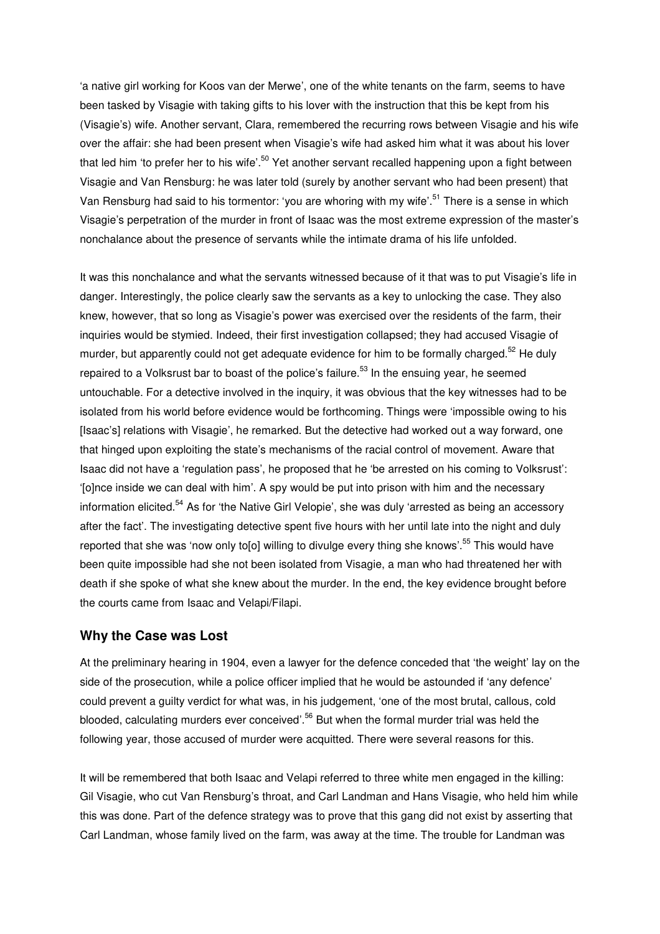'a native girl working for Koos van der Merwe', one of the white tenants on the farm, seems to have been tasked by Visagie with taking gifts to his lover with the instruction that this be kept from his (Visagie's) wife. Another servant, Clara, remembered the recurring rows between Visagie and his wife over the affair: she had been present when Visagie's wife had asked him what it was about his lover that led him 'to prefer her to his wife'.<sup>50</sup> Yet another servant recalled happening upon a fight between Visagie and Van Rensburg: he was later told (surely by another servant who had been present) that Van Rensburg had said to his tormentor: 'you are whoring with my wife'.<sup>51</sup> There is a sense in which Visagie's perpetration of the murder in front of Isaac was the most extreme expression of the master's nonchalance about the presence of servants while the intimate drama of his life unfolded.

It was this nonchalance and what the servants witnessed because of it that was to put Visagie's life in danger. Interestingly, the police clearly saw the servants as a key to unlocking the case. They also knew, however, that so long as Visagie's power was exercised over the residents of the farm, their inquiries would be stymied. Indeed, their first investigation collapsed; they had accused Visagie of murder, but apparently could not get adequate evidence for him to be formally charged.<sup>52</sup> He duly repaired to a Volksrust bar to boast of the police's failure.<sup>53</sup> In the ensuing year, he seemed untouchable. For a detective involved in the inquiry, it was obvious that the key witnesses had to be isolated from his world before evidence would be forthcoming. Things were 'impossible owing to his [Isaac's] relations with Visagie', he remarked. But the detective had worked out a way forward, one that hinged upon exploiting the state's mechanisms of the racial control of movement. Aware that Isaac did not have a 'regulation pass', he proposed that he 'be arrested on his coming to Volksrust': '[o]nce inside we can deal with him'. A spy would be put into prison with him and the necessary information elicited.<sup>54</sup> As for 'the Native Girl Velopie', she was duly 'arrested as being an accessory after the fact'. The investigating detective spent five hours with her until late into the night and duly reported that she was 'now only to[o] willing to divulge every thing she knows'.<sup>55</sup> This would have been quite impossible had she not been isolated from Visagie, a man who had threatened her with death if she spoke of what she knew about the murder. In the end, the key evidence brought before the courts came from Isaac and Velapi/Filapi.

#### **Why the Case was Lost**

At the preliminary hearing in 1904, even a lawyer for the defence conceded that 'the weight' lay on the side of the prosecution, while a police officer implied that he would be astounded if 'any defence' could prevent a guilty verdict for what was, in his judgement, 'one of the most brutal, callous, cold blooded, calculating murders ever conceived'.<sup>56</sup> But when the formal murder trial was held the following year, those accused of murder were acquitted. There were several reasons for this.

It will be remembered that both Isaac and Velapi referred to three white men engaged in the killing: Gil Visagie, who cut Van Rensburg's throat, and Carl Landman and Hans Visagie, who held him while this was done. Part of the defence strategy was to prove that this gang did not exist by asserting that Carl Landman, whose family lived on the farm, was away at the time. The trouble for Landman was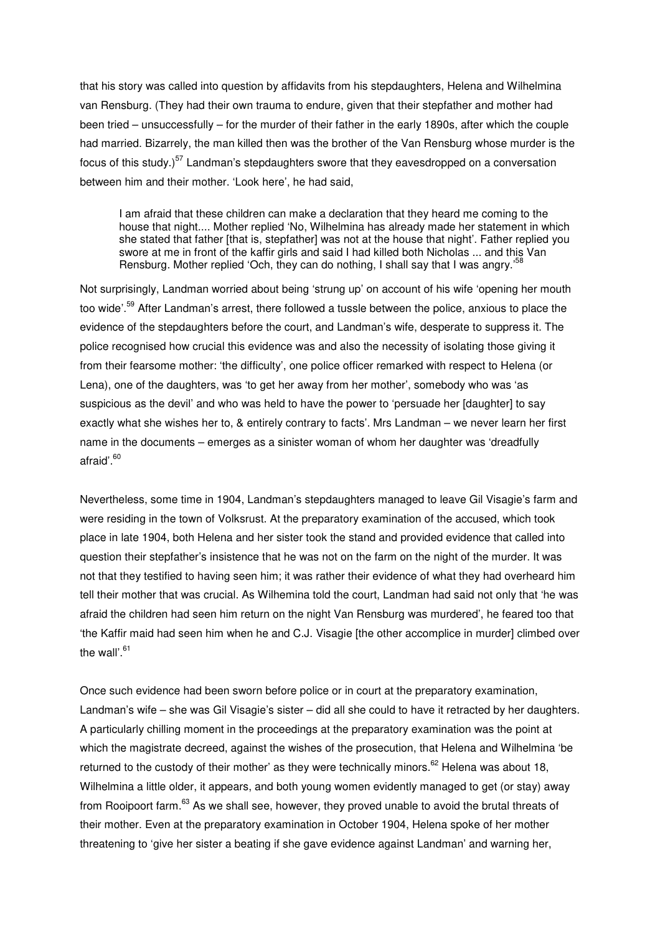that his story was called into question by affidavits from his stepdaughters, Helena and Wilhelmina van Rensburg. (They had their own trauma to endure, given that their stepfather and mother had been tried – unsuccessfully – for the murder of their father in the early 1890s, after which the couple had married. Bizarrely, the man killed then was the brother of the Van Rensburg whose murder is the focus of this study.)<sup>57</sup> Landman's stepdaughters swore that they eavesdropped on a conversation between him and their mother. 'Look here', he had said,

I am afraid that these children can make a declaration that they heard me coming to the house that night.... Mother replied 'No, Wilhelmina has already made her statement in which she stated that father [that is, stepfather] was not at the house that night'. Father replied you swore at me in front of the kaffir girls and said I had killed both Nicholas ... and this Van Rensburg. Mother replied 'Och, they can do nothing, I shall say that I was angry.'

Not surprisingly, Landman worried about being 'strung up' on account of his wife 'opening her mouth too wide'.<sup>59</sup> After Landman's arrest, there followed a tussle between the police, anxious to place the evidence of the stepdaughters before the court, and Landman's wife, desperate to suppress it. The police recognised how crucial this evidence was and also the necessity of isolating those giving it from their fearsome mother: 'the difficulty', one police officer remarked with respect to Helena (or Lena), one of the daughters, was 'to get her away from her mother', somebody who was 'as suspicious as the devil' and who was held to have the power to 'persuade her [daughter] to say exactly what she wishes her to, & entirely contrary to facts'. Mrs Landman – we never learn her first name in the documents – emerges as a sinister woman of whom her daughter was 'dreadfully afraid'.<sup>60</sup>

Nevertheless, some time in 1904, Landman's stepdaughters managed to leave Gil Visagie's farm and were residing in the town of Volksrust. At the preparatory examination of the accused, which took place in late 1904, both Helena and her sister took the stand and provided evidence that called into question their stepfather's insistence that he was not on the farm on the night of the murder. It was not that they testified to having seen him; it was rather their evidence of what they had overheard him tell their mother that was crucial. As Wilhemina told the court, Landman had said not only that 'he was afraid the children had seen him return on the night Van Rensburg was murdered', he feared too that 'the Kaffir maid had seen him when he and C.J. Visagie [the other accomplice in murder] climbed over the wall' $61$ 

Once such evidence had been sworn before police or in court at the preparatory examination, Landman's wife – she was Gil Visagie's sister – did all she could to have it retracted by her daughters. A particularly chilling moment in the proceedings at the preparatory examination was the point at which the magistrate decreed, against the wishes of the prosecution, that Helena and Wilhelmina 'be returned to the custody of their mother' as they were technically minors.<sup>62</sup> Helena was about 18, Wilhelmina a little older, it appears, and both young women evidently managed to get (or stay) away from Rooipoort farm.<sup>63</sup> As we shall see, however, they proved unable to avoid the brutal threats of their mother. Even at the preparatory examination in October 1904, Helena spoke of her mother threatening to 'give her sister a beating if she gave evidence against Landman' and warning her,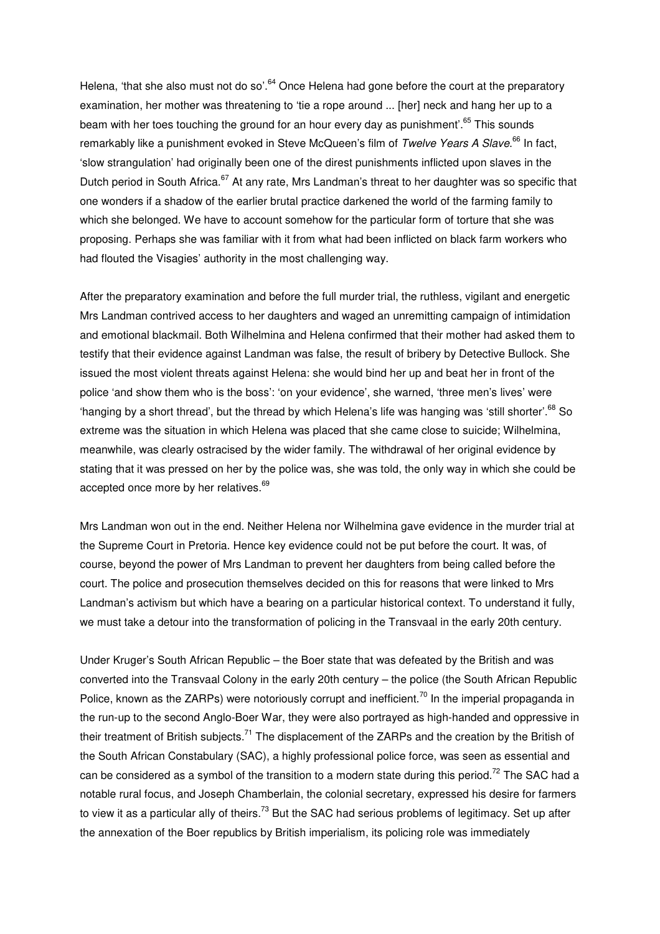Helena, 'that she also must not do so'.<sup>64</sup> Once Helena had gone before the court at the preparatory examination, her mother was threatening to 'tie a rope around ... [her] neck and hang her up to a beam with her toes touching the ground for an hour every day as punishment<sup>65</sup> This sounds remarkably like a punishment evoked in Steve McQueen's film of *Twelve Years A Slave*. <sup>66</sup> In fact, 'slow strangulation' had originally been one of the direst punishments inflicted upon slaves in the Dutch period in South Africa.<sup>67</sup> At any rate, Mrs Landman's threat to her daughter was so specific that one wonders if a shadow of the earlier brutal practice darkened the world of the farming family to which she belonged. We have to account somehow for the particular form of torture that she was proposing. Perhaps she was familiar with it from what had been inflicted on black farm workers who had flouted the Visagies' authority in the most challenging way.

After the preparatory examination and before the full murder trial, the ruthless, vigilant and energetic Mrs Landman contrived access to her daughters and waged an unremitting campaign of intimidation and emotional blackmail. Both Wilhelmina and Helena confirmed that their mother had asked them to testify that their evidence against Landman was false, the result of bribery by Detective Bullock. She issued the most violent threats against Helena: she would bind her up and beat her in front of the police 'and show them who is the boss': 'on your evidence', she warned, 'three men's lives' were 'hanging by a short thread', but the thread by which Helena's life was hanging was 'still shorter'.<sup>68</sup> So extreme was the situation in which Helena was placed that she came close to suicide; Wilhelmina, meanwhile, was clearly ostracised by the wider family. The withdrawal of her original evidence by stating that it was pressed on her by the police was, she was told, the only way in which she could be accepted once more by her relatives.<sup>69</sup>

Mrs Landman won out in the end. Neither Helena nor Wilhelmina gave evidence in the murder trial at the Supreme Court in Pretoria. Hence key evidence could not be put before the court. It was, of course, beyond the power of Mrs Landman to prevent her daughters from being called before the court. The police and prosecution themselves decided on this for reasons that were linked to Mrs Landman's activism but which have a bearing on a particular historical context. To understand it fully, we must take a detour into the transformation of policing in the Transvaal in the early 20th century.

Under Kruger's South African Republic – the Boer state that was defeated by the British and was converted into the Transvaal Colony in the early 20th century – the police (the South African Republic Police, known as the ZARPs) were notoriously corrupt and inefficient.<sup>70</sup> In the imperial propaganda in the run-up to the second Anglo-Boer War, they were also portrayed as high-handed and oppressive in their treatment of British subjects.<sup>71</sup> The displacement of the ZARPs and the creation by the British of the South African Constabulary (SAC), a highly professional police force, was seen as essential and can be considered as a symbol of the transition to a modern state during this period.<sup>72</sup> The SAC had a notable rural focus, and Joseph Chamberlain, the colonial secretary, expressed his desire for farmers to view it as a particular ally of theirs.<sup>73</sup> But the SAC had serious problems of legitimacy. Set up after the annexation of the Boer republics by British imperialism, its policing role was immediately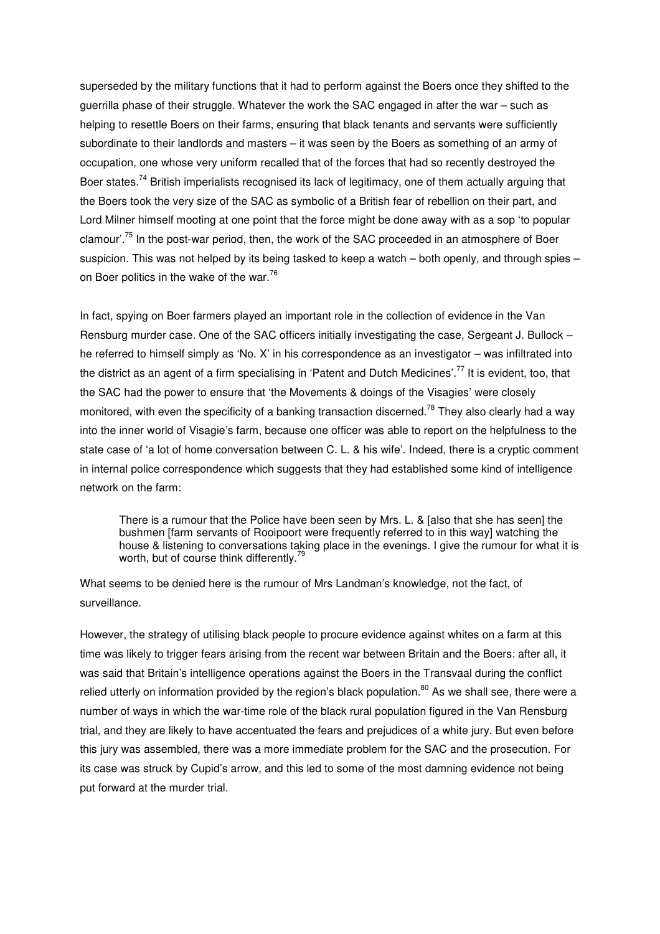superseded by the military functions that it had to perform against the Boers once they shifted to the guerrilla phase of their struggle. Whatever the work the SAC engaged in after the war – such as helping to resettle Boers on their farms, ensuring that black tenants and servants were sufficiently subordinate to their landlords and masters – it was seen by the Boers as something of an army of occupation, one whose very uniform recalled that of the forces that had so recently destroyed the Boer states.<sup>74</sup> British imperialists recognised its lack of legitimacy, one of them actually arguing that the Boers took the very size of the SAC as symbolic of a British fear of rebellion on their part, and Lord Milner himself mooting at one point that the force might be done away with as a sop 'to popular clamour'.<sup>75</sup> In the post-war period, then, the work of the SAC proceeded in an atmosphere of Boer suspicion. This was not helped by its being tasked to keep a watch – both openly, and through spies – on Boer politics in the wake of the war.<sup>76</sup>

In fact, spying on Boer farmers played an important role in the collection of evidence in the Van Rensburg murder case. One of the SAC officers initially investigating the case. Sergeant J. Bullock – he referred to himself simply as 'No. X' in his correspondence as an investigator – was infiltrated into the district as an agent of a firm specialising in 'Patent and Dutch Medicines'.<sup>77</sup> It is evident, too, that the SAC had the power to ensure that 'the Movements & doings of the Visagies' were closely monitored, with even the specificity of a banking transaction discerned.<sup>78</sup> They also clearly had a way into the inner world of Visagie's farm, because one officer was able to report on the helpfulness to the state case of 'a lot of home conversation between C. L. & his wife'. Indeed, there is a cryptic comment in internal police correspondence which suggests that they had established some kind of intelligence network on the farm:

There is a rumour that the Police have been seen by Mrs. L. & [also that she has seen] the bushmen [farm servants of Rooipoort were frequently referred to in this way] watching the house & listening to conversations taking place in the evenings. I give the rumour for what it is worth, but of course think differently.<sup>7</sup>

What seems to be denied here is the rumour of Mrs Landman's knowledge, not the fact, of surveillance.

However, the strategy of utilising black people to procure evidence against whites on a farm at this time was likely to trigger fears arising from the recent war between Britain and the Boers: after all, it was said that Britain's intelligence operations against the Boers in the Transvaal during the conflict relied utterly on information provided by the region's black population.<sup>80</sup> As we shall see, there were a number of ways in which the war-time role of the black rural population figured in the Van Rensburg trial, and they are likely to have accentuated the fears and prejudices of a white jury. But even before this jury was assembled, there was a more immediate problem for the SAC and the prosecution. For its case was struck by Cupid's arrow, and this led to some of the most damning evidence not being put forward at the murder trial.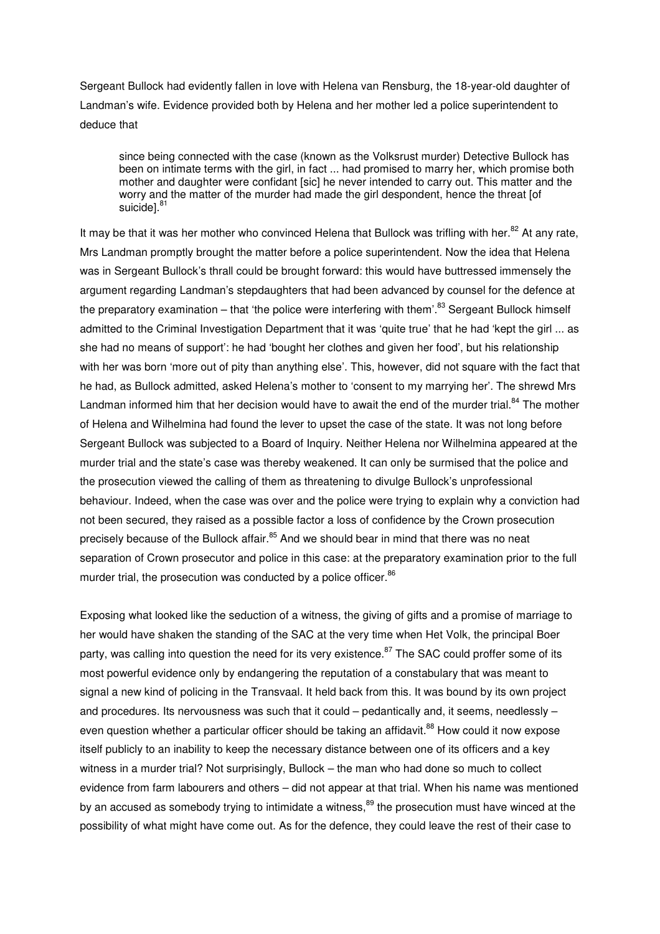Sergeant Bullock had evidently fallen in love with Helena van Rensburg, the 18-year-old daughter of Landman's wife. Evidence provided both by Helena and her mother led a police superintendent to deduce that

since being connected with the case (known as the Volksrust murder) Detective Bullock has been on intimate terms with the girl, in fact ... had promised to marry her, which promise both mother and daughter were confidant [sic] he never intended to carry out. This matter and the worry and the matter of the murder had made the girl despondent, hence the threat [of suicide<sub>1.8</sub>

It may be that it was her mother who convinced Helena that Bullock was trifling with her.<sup>82</sup> At any rate, Mrs Landman promptly brought the matter before a police superintendent. Now the idea that Helena was in Sergeant Bullock's thrall could be brought forward: this would have buttressed immensely the argument regarding Landman's stepdaughters that had been advanced by counsel for the defence at the preparatory examination – that 'the police were interfering with them'.<sup>83</sup> Sergeant Bullock himself admitted to the Criminal Investigation Department that it was 'quite true' that he had 'kept the girl ... as she had no means of support': he had 'bought her clothes and given her food', but his relationship with her was born 'more out of pity than anything else'. This, however, did not square with the fact that he had, as Bullock admitted, asked Helena's mother to 'consent to my marrying her'. The shrewd Mrs Landman informed him that her decision would have to await the end of the murder trial.<sup>84</sup> The mother of Helena and Wilhelmina had found the lever to upset the case of the state. It was not long before Sergeant Bullock was subjected to a Board of Inquiry. Neither Helena nor Wilhelmina appeared at the murder trial and the state's case was thereby weakened. It can only be surmised that the police and the prosecution viewed the calling of them as threatening to divulge Bullock's unprofessional behaviour. Indeed, when the case was over and the police were trying to explain why a conviction had not been secured, they raised as a possible factor a loss of confidence by the Crown prosecution precisely because of the Bullock affair.<sup>85</sup> And we should bear in mind that there was no neat separation of Crown prosecutor and police in this case: at the preparatory examination prior to the full murder trial, the prosecution was conducted by a police officer.<sup>86</sup>

Exposing what looked like the seduction of a witness, the giving of gifts and a promise of marriage to her would have shaken the standing of the SAC at the very time when Het Volk, the principal Boer party, was calling into question the need for its very existence.<sup>87</sup> The SAC could proffer some of its most powerful evidence only by endangering the reputation of a constabulary that was meant to signal a new kind of policing in the Transvaal. It held back from this. It was bound by its own project and procedures. Its nervousness was such that it could – pedantically and, it seems, needlessly – even question whether a particular officer should be taking an affidavit.<sup>88</sup> How could it now expose itself publicly to an inability to keep the necessary distance between one of its officers and a key witness in a murder trial? Not surprisingly, Bullock – the man who had done so much to collect evidence from farm labourers and others – did not appear at that trial. When his name was mentioned by an accused as somebody trying to intimidate a witness, $89$  the prosecution must have winced at the possibility of what might have come out. As for the defence, they could leave the rest of their case to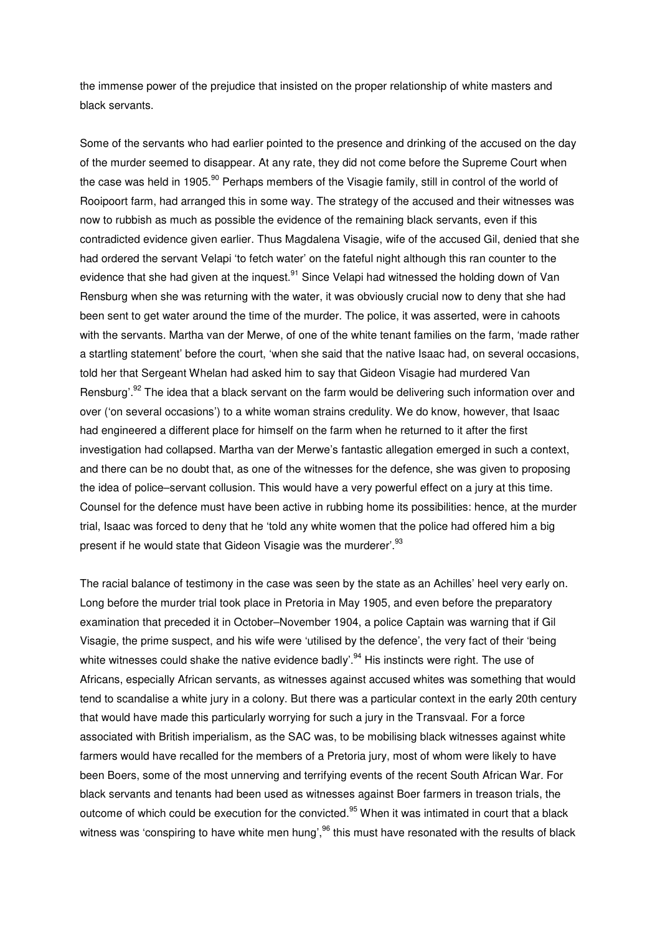the immense power of the prejudice that insisted on the proper relationship of white masters and black servants.

Some of the servants who had earlier pointed to the presence and drinking of the accused on the day of the murder seemed to disappear. At any rate, they did not come before the Supreme Court when the case was held in 1905.<sup>90</sup> Perhaps members of the Visagie family, still in control of the world of Rooipoort farm, had arranged this in some way. The strategy of the accused and their witnesses was now to rubbish as much as possible the evidence of the remaining black servants, even if this contradicted evidence given earlier. Thus Magdalena Visagie, wife of the accused Gil, denied that she had ordered the servant Velapi 'to fetch water' on the fateful night although this ran counter to the evidence that she had given at the inquest.<sup>91</sup> Since Velapi had witnessed the holding down of Van Rensburg when she was returning with the water, it was obviously crucial now to deny that she had been sent to get water around the time of the murder. The police, it was asserted, were in cahoots with the servants. Martha van der Merwe, of one of the white tenant families on the farm, 'made rather a startling statement' before the court, 'when she said that the native Isaac had, on several occasions, told her that Sergeant Whelan had asked him to say that Gideon Visagie had murdered Van Rensburg<sup>', 92</sup> The idea that a black servant on the farm would be delivering such information over and over ('on several occasions') to a white woman strains credulity. We do know, however, that Isaac had engineered a different place for himself on the farm when he returned to it after the first investigation had collapsed. Martha van der Merwe's fantastic allegation emerged in such a context, and there can be no doubt that, as one of the witnesses for the defence, she was given to proposing the idea of police–servant collusion. This would have a very powerful effect on a jury at this time. Counsel for the defence must have been active in rubbing home its possibilities: hence, at the murder trial, Isaac was forced to deny that he 'told any white women that the police had offered him a big present if he would state that Gideon Visagie was the murderer'.<sup>93</sup>

The racial balance of testimony in the case was seen by the state as an Achilles' heel very early on. Long before the murder trial took place in Pretoria in May 1905, and even before the preparatory examination that preceded it in October–November 1904, a police Captain was warning that if Gil Visagie, the prime suspect, and his wife were 'utilised by the defence', the very fact of their 'being white witnesses could shake the native evidence badly'.<sup>94</sup> His instincts were right. The use of Africans, especially African servants, as witnesses against accused whites was something that would tend to scandalise a white jury in a colony. But there was a particular context in the early 20th century that would have made this particularly worrying for such a jury in the Transvaal. For a force associated with British imperialism, as the SAC was, to be mobilising black witnesses against white farmers would have recalled for the members of a Pretoria jury, most of whom were likely to have been Boers, some of the most unnerving and terrifying events of the recent South African War. For black servants and tenants had been used as witnesses against Boer farmers in treason trials, the outcome of which could be execution for the convicted.<sup>95</sup> When it was intimated in court that a black witness was 'conspiring to have white men hung', <sup>96</sup> this must have resonated with the results of black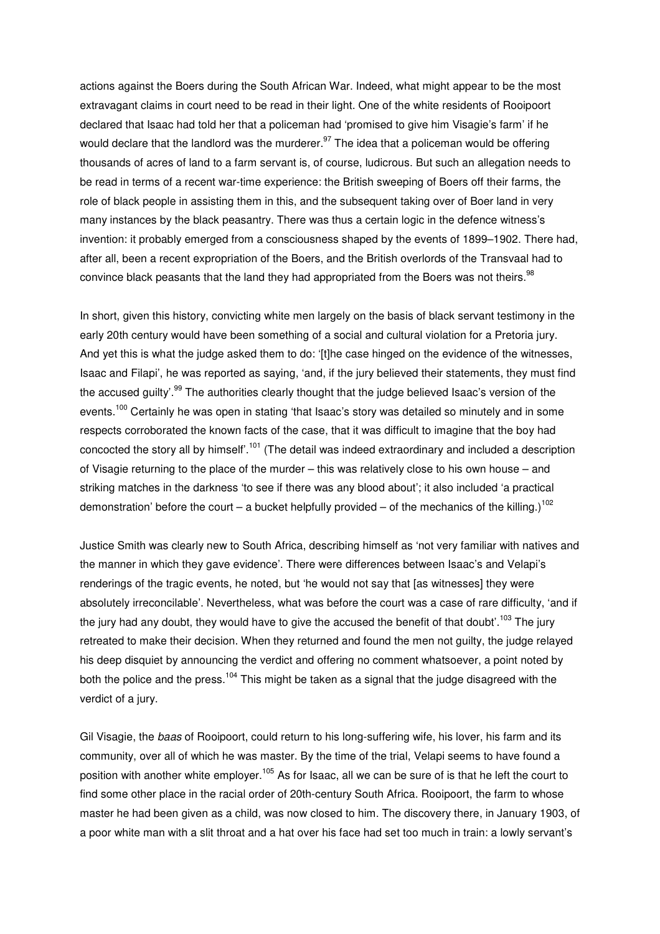actions against the Boers during the South African War. Indeed, what might appear to be the most extravagant claims in court need to be read in their light. One of the white residents of Rooipoort declared that Isaac had told her that a policeman had 'promised to give him Visagie's farm' if he would declare that the landlord was the murderer.<sup>97</sup> The idea that a policeman would be offering thousands of acres of land to a farm servant is, of course, ludicrous. But such an allegation needs to be read in terms of a recent war-time experience: the British sweeping of Boers off their farms, the role of black people in assisting them in this, and the subsequent taking over of Boer land in very many instances by the black peasantry. There was thus a certain logic in the defence witness's invention: it probably emerged from a consciousness shaped by the events of 1899–1902. There had, after all, been a recent expropriation of the Boers, and the British overlords of the Transvaal had to convince black peasants that the land they had appropriated from the Boers was not theirs.<sup>98</sup>

In short, given this history, convicting white men largely on the basis of black servant testimony in the early 20th century would have been something of a social and cultural violation for a Pretoria jury. And yet this is what the judge asked them to do: '[t]he case hinged on the evidence of the witnesses, Isaac and Filapi', he was reported as saying, 'and, if the jury believed their statements, they must find the accused guilty<sup>'.99</sup> The authorities clearly thought that the judge believed Isaac's version of the events.<sup>100</sup> Certainly he was open in stating 'that Isaac's story was detailed so minutely and in some respects corroborated the known facts of the case, that it was difficult to imagine that the boy had concocted the story all by himself<sup>'.101</sup> (The detail was indeed extraordinary and included a description of Visagie returning to the place of the murder – this was relatively close to his own house – and striking matches in the darkness 'to see if there was any blood about'; it also included 'a practical demonstration' before the court – a bucket helpfully provided – of the mechanics of the killing.)<sup>102</sup>

Justice Smith was clearly new to South Africa, describing himself as 'not very familiar with natives and the manner in which they gave evidence'. There were differences between Isaac's and Velapi's renderings of the tragic events, he noted, but 'he would not say that [as witnesses] they were absolutely irreconcilable'. Nevertheless, what was before the court was a case of rare difficulty, 'and if the jury had any doubt, they would have to give the accused the benefit of that doubt'.<sup>103</sup> The jury retreated to make their decision. When they returned and found the men not guilty, the judge relayed his deep disquiet by announcing the verdict and offering no comment whatsoever, a point noted by both the police and the press.<sup>104</sup> This might be taken as a signal that the judge disagreed with the verdict of a jury.

Gil Visagie, the *baas* of Rooipoort, could return to his long-suffering wife, his lover, his farm and its community, over all of which he was master. By the time of the trial, Velapi seems to have found a position with another white employer.<sup>105</sup> As for Isaac, all we can be sure of is that he left the court to find some other place in the racial order of 20th-century South Africa. Rooipoort, the farm to whose master he had been given as a child, was now closed to him. The discovery there, in January 1903, of a poor white man with a slit throat and a hat over his face had set too much in train: a lowly servant's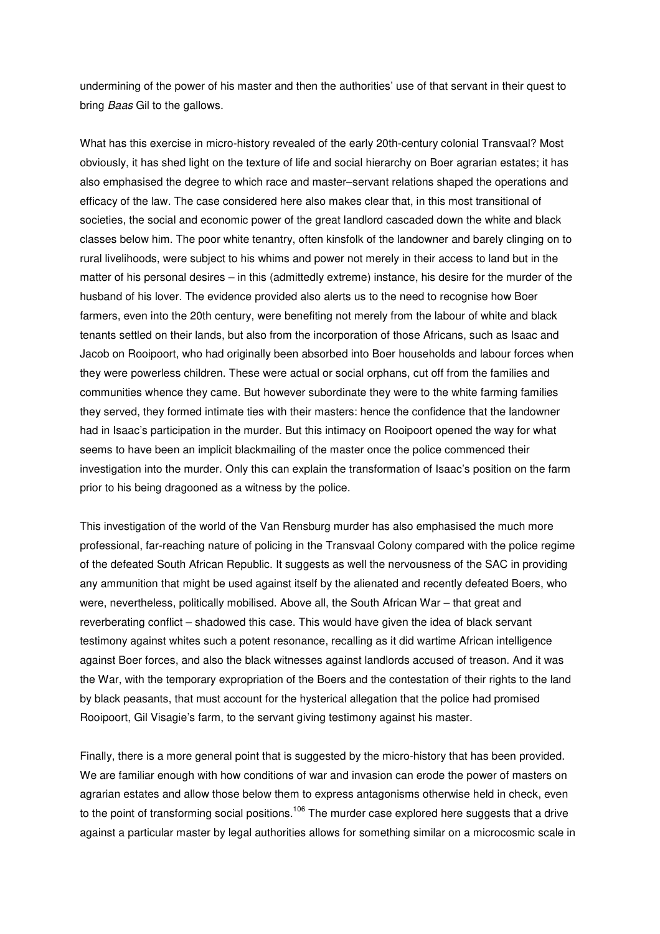undermining of the power of his master and then the authorities' use of that servant in their quest to bring *Baas* Gil to the gallows.

What has this exercise in micro-history revealed of the early 20th-century colonial Transvaal? Most obviously, it has shed light on the texture of life and social hierarchy on Boer agrarian estates; it has also emphasised the degree to which race and master–servant relations shaped the operations and efficacy of the law. The case considered here also makes clear that, in this most transitional of societies, the social and economic power of the great landlord cascaded down the white and black classes below him. The poor white tenantry, often kinsfolk of the landowner and barely clinging on to rural livelihoods, were subject to his whims and power not merely in their access to land but in the matter of his personal desires – in this (admittedly extreme) instance, his desire for the murder of the husband of his lover. The evidence provided also alerts us to the need to recognise how Boer farmers, even into the 20th century, were benefiting not merely from the labour of white and black tenants settled on their lands, but also from the incorporation of those Africans, such as Isaac and Jacob on Rooipoort, who had originally been absorbed into Boer households and labour forces when they were powerless children. These were actual or social orphans, cut off from the families and communities whence they came. But however subordinate they were to the white farming families they served, they formed intimate ties with their masters: hence the confidence that the landowner had in Isaac's participation in the murder. But this intimacy on Rooipoort opened the way for what seems to have been an implicit blackmailing of the master once the police commenced their investigation into the murder. Only this can explain the transformation of Isaac's position on the farm prior to his being dragooned as a witness by the police.

This investigation of the world of the Van Rensburg murder has also emphasised the much more professional, far-reaching nature of policing in the Transvaal Colony compared with the police regime of the defeated South African Republic. It suggests as well the nervousness of the SAC in providing any ammunition that might be used against itself by the alienated and recently defeated Boers, who were, nevertheless, politically mobilised. Above all, the South African War – that great and reverberating conflict – shadowed this case. This would have given the idea of black servant testimony against whites such a potent resonance, recalling as it did wartime African intelligence against Boer forces, and also the black witnesses against landlords accused of treason. And it was the War, with the temporary expropriation of the Boers and the contestation of their rights to the land by black peasants, that must account for the hysterical allegation that the police had promised Rooipoort, Gil Visagie's farm, to the servant giving testimony against his master.

Finally, there is a more general point that is suggested by the micro-history that has been provided. We are familiar enough with how conditions of war and invasion can erode the power of masters on agrarian estates and allow those below them to express antagonisms otherwise held in check, even to the point of transforming social positions.<sup>106</sup> The murder case explored here suggests that a drive against a particular master by legal authorities allows for something similar on a microcosmic scale in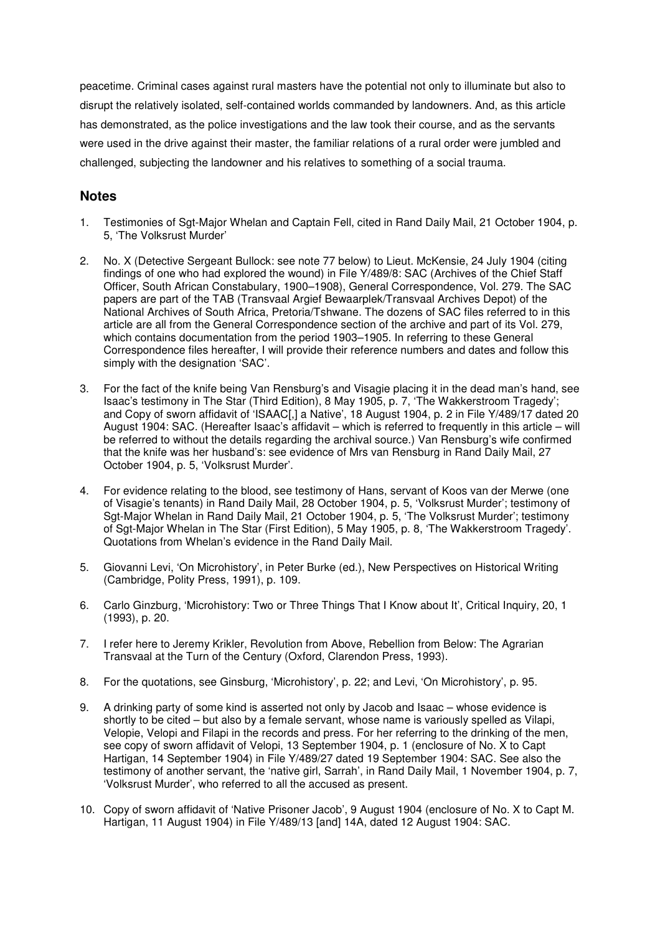peacetime. Criminal cases against rural masters have the potential not only to illuminate but also to disrupt the relatively isolated, self-contained worlds commanded by landowners. And, as this article has demonstrated, as the police investigations and the law took their course, and as the servants were used in the drive against their master, the familiar relations of a rural order were jumbled and challenged, subjecting the landowner and his relatives to something of a social trauma.

# **Notes**

- 1. Testimonies of Sgt-Major Whelan and Captain Fell, cited in Rand Daily Mail, 21 October 1904, p. 5, 'The Volksrust Murder'
- 2. No. X (Detective Sergeant Bullock: see note 77 below) to Lieut. McKensie, 24 July 1904 (citing findings of one who had explored the wound) in File Y/489/8: SAC (Archives of the Chief Staff Officer, South African Constabulary, 1900–1908), General Correspondence, Vol. 279. The SAC papers are part of the TAB (Transvaal Argief Bewaarplek/Transvaal Archives Depot) of the National Archives of South Africa, Pretoria/Tshwane. The dozens of SAC files referred to in this article are all from the General Correspondence section of the archive and part of its Vol. 279, which contains documentation from the period 1903–1905. In referring to these General Correspondence files hereafter, I will provide their reference numbers and dates and follow this simply with the designation 'SAC'.
- 3. For the fact of the knife being Van Rensburg's and Visagie placing it in the dead man's hand, see Isaac's testimony in The Star (Third Edition), 8 May 1905, p. 7, 'The Wakkerstroom Tragedy'; and Copy of sworn affidavit of 'ISAAC[,] a Native', 18 August 1904, p. 2 in File Y/489/17 dated 20 August 1904: SAC. (Hereafter Isaac's affidavit – which is referred to frequently in this article – will be referred to without the details regarding the archival source.) Van Rensburg's wife confirmed that the knife was her husband's: see evidence of Mrs van Rensburg in Rand Daily Mail, 27 October 1904, p. 5, 'Volksrust Murder'.
- 4. For evidence relating to the blood, see testimony of Hans, servant of Koos van der Merwe (one of Visagie's tenants) in Rand Daily Mail, 28 October 1904, p. 5, 'Volksrust Murder'; testimony of Sgt-Major Whelan in Rand Daily Mail, 21 October 1904, p. 5, 'The Volksrust Murder'; testimony of Sgt-Major Whelan in The Star (First Edition), 5 May 1905, p. 8, 'The Wakkerstroom Tragedy'. Quotations from Whelan's evidence in the Rand Daily Mail.
- 5. Giovanni Levi, 'On Microhistory', in Peter Burke (ed.), New Perspectives on Historical Writing (Cambridge, Polity Press, 1991), p. 109.
- 6. Carlo Ginzburg, 'Microhistory: Two or Three Things That I Know about It', Critical Inquiry, 20, 1 (1993), p. 20.
- 7. I refer here to Jeremy Krikler, Revolution from Above, Rebellion from Below: The Agrarian Transvaal at the Turn of the Century (Oxford, Clarendon Press, 1993).
- 8. For the quotations, see Ginsburg, 'Microhistory', p. 22; and Levi, 'On Microhistory', p. 95.
- 9. A drinking party of some kind is asserted not only by Jacob and Isaac whose evidence is shortly to be cited – but also by a female servant, whose name is variously spelled as Vilapi, Velopie, Velopi and Filapi in the records and press. For her referring to the drinking of the men, see copy of sworn affidavit of Velopi, 13 September 1904, p. 1 (enclosure of No. X to Capt Hartigan, 14 September 1904) in File Y/489/27 dated 19 September 1904: SAC. See also the testimony of another servant, the 'native girl, Sarrah', in Rand Daily Mail, 1 November 1904, p. 7, 'Volksrust Murder', who referred to all the accused as present.
- 10. Copy of sworn affidavit of 'Native Prisoner Jacob', 9 August 1904 (enclosure of No. X to Capt M. Hartigan, 11 August 1904) in File Y/489/13 [and] 14A, dated 12 August 1904: SAC.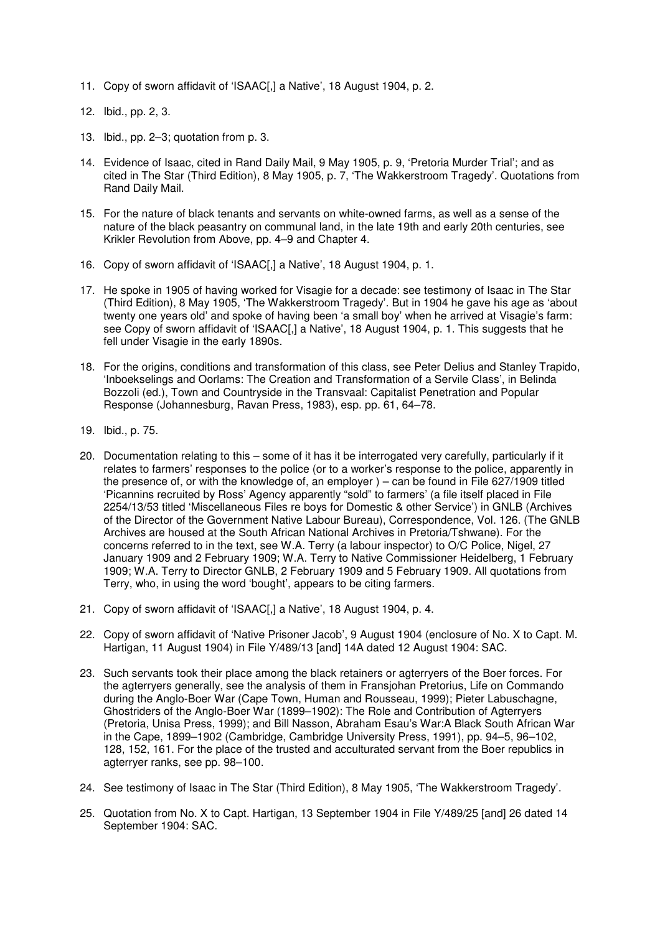- 11. Copy of sworn affidavit of 'ISAAC[,] a Native', 18 August 1904, p. 2.
- 12. Ibid., pp. 2, 3.
- 13. Ibid., pp. 2–3; quotation from p. 3.
- 14. Evidence of Isaac, cited in Rand Daily Mail, 9 May 1905, p. 9, 'Pretoria Murder Trial'; and as cited in The Star (Third Edition), 8 May 1905, p. 7, 'The Wakkerstroom Tragedy'. Quotations from Rand Daily Mail.
- 15. For the nature of black tenants and servants on white-owned farms, as well as a sense of the nature of the black peasantry on communal land, in the late 19th and early 20th centuries, see Krikler Revolution from Above, pp. 4–9 and Chapter 4.
- 16. Copy of sworn affidavit of 'ISAAC[,] a Native', 18 August 1904, p. 1.
- 17. He spoke in 1905 of having worked for Visagie for a decade: see testimony of Isaac in The Star (Third Edition), 8 May 1905, 'The Wakkerstroom Tragedy'. But in 1904 he gave his age as 'about twenty one years old' and spoke of having been 'a small boy' when he arrived at Visagie's farm: see Copy of sworn affidavit of 'ISAAC[,] a Native', 18 August 1904, p. 1. This suggests that he fell under Visagie in the early 1890s.
- 18. For the origins, conditions and transformation of this class, see Peter Delius and Stanley Trapido, 'Inboekselings and Oorlams: The Creation and Transformation of a Servile Class', in Belinda Bozzoli (ed.), Town and Countryside in the Transvaal: Capitalist Penetration and Popular Response (Johannesburg, Ravan Press, 1983), esp. pp. 61, 64–78.
- 19. Ibid., p. 75.
- 20. Documentation relating to this some of it has it be interrogated very carefully, particularly if it relates to farmers' responses to the police (or to a worker's response to the police, apparently in the presence of, or with the knowledge of, an employer ) – can be found in File 627/1909 titled 'Picannins recruited by Ross' Agency apparently "sold" to farmers' (a file itself placed in File 2254/13/53 titled 'Miscellaneous Files re boys for Domestic & other Service') in GNLB (Archives of the Director of the Government Native Labour Bureau), Correspondence, Vol. 126. (The GNLB Archives are housed at the South African National Archives in Pretoria/Tshwane). For the concerns referred to in the text, see W.A. Terry (a labour inspector) to O/C Police, Nigel, 27 January 1909 and 2 February 1909; W.A. Terry to Native Commissioner Heidelberg, 1 February 1909; W.A. Terry to Director GNLB, 2 February 1909 and 5 February 1909. All quotations from Terry, who, in using the word 'bought', appears to be citing farmers.
- 21. Copy of sworn affidavit of 'ISAAC[,] a Native', 18 August 1904, p. 4.
- 22. Copy of sworn affidavit of 'Native Prisoner Jacob', 9 August 1904 (enclosure of No. X to Capt. M. Hartigan, 11 August 1904) in File Y/489/13 [and] 14A dated 12 August 1904: SAC.
- 23. Such servants took their place among the black retainers or agterryers of the Boer forces. For the agterryers generally, see the analysis of them in Fransjohan Pretorius, Life on Commando during the Anglo-Boer War (Cape Town, Human and Rousseau, 1999); Pieter Labuschagne, Ghostriders of the Anglo-Boer War (1899–1902): The Role and Contribution of Agterryers (Pretoria, Unisa Press, 1999); and Bill Nasson, Abraham Esau's War:A Black South African War in the Cape, 1899–1902 (Cambridge, Cambridge University Press, 1991), pp. 94–5, 96–102, 128, 152, 161. For the place of the trusted and acculturated servant from the Boer republics in agterryer ranks, see pp. 98–100.
- 24. See testimony of Isaac in The Star (Third Edition), 8 May 1905, 'The Wakkerstroom Tragedy'.
- 25. Quotation from No. X to Capt. Hartigan, 13 September 1904 in File Y/489/25 [and] 26 dated 14 September 1904: SAC.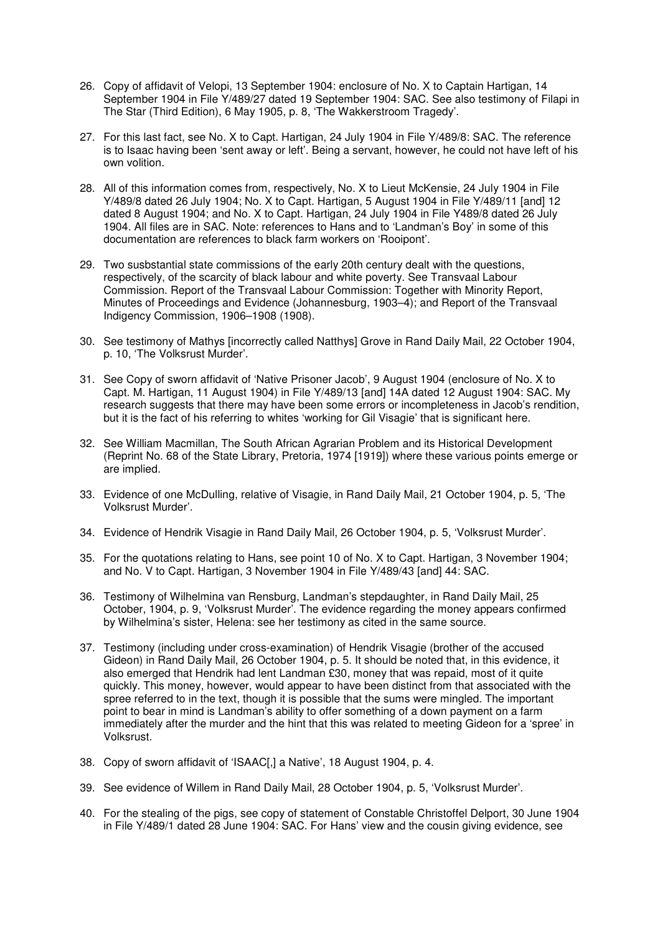- 26. Copy of affidavit of Velopi, 13 September 1904: enclosure of No. X to Captain Hartigan, 14 September 1904 in File Y/489/27 dated 19 September 1904: SAC. See also testimony of Filapi in The Star (Third Edition), 6 May 1905, p. 8, 'The Wakkerstroom Tragedy'.
- 27. For this last fact, see No. X to Capt. Hartigan, 24 July 1904 in File Y/489/8: SAC. The reference is to Isaac having been 'sent away or left'. Being a servant, however, he could not have left of his own volition.
- 28. All of this information comes from, respectively, No. X to Lieut McKensie, 24 July 1904 in File Y/489/8 dated 26 July 1904; No. X to Capt. Hartigan, 5 August 1904 in File Y/489/11 [and] 12 dated 8 August 1904; and No. X to Capt. Hartigan, 24 July 1904 in File Y489/8 dated 26 July 1904. All files are in SAC. Note: references to Hans and to 'Landman's Boy' in some of this documentation are references to black farm workers on 'Rooipont'.
- 29. Two susbstantial state commissions of the early 20th century dealt with the questions, respectively, of the scarcity of black labour and white poverty. See Transvaal Labour Commission. Report of the Transvaal Labour Commission: Together with Minority Report, Minutes of Proceedings and Evidence (Johannesburg, 1903–4); and Report of the Transvaal Indigency Commission, 1906–1908 (1908).
- 30. See testimony of Mathys [incorrectly called Natthys] Grove in Rand Daily Mail, 22 October 1904, p. 10, 'The Volksrust Murder'.
- 31. See Copy of sworn affidavit of 'Native Prisoner Jacob', 9 August 1904 (enclosure of No. X to Capt. M. Hartigan, 11 August 1904) in File Y/489/13 [and] 14A dated 12 August 1904: SAC. My research suggests that there may have been some errors or incompleteness in Jacob's rendition, but it is the fact of his referring to whites 'working for Gil Visagie' that is significant here.
- 32. See William Macmillan, The South African Agrarian Problem and its Historical Development (Reprint No. 68 of the State Library, Pretoria, 1974 [1919]) where these various points emerge or are implied.
- 33. Evidence of one McDulling, relative of Visagie, in Rand Daily Mail, 21 October 1904, p. 5, 'The Volksrust Murder'.
- 34. Evidence of Hendrik Visagie in Rand Daily Mail, 26 October 1904, p. 5, 'Volksrust Murder'.
- 35. For the quotations relating to Hans, see point 10 of No. X to Capt. Hartigan, 3 November 1904; and No. V to Capt. Hartigan, 3 November 1904 in File Y/489/43 [and] 44: SAC.
- 36. Testimony of Wilhelmina van Rensburg, Landman's stepdaughter, in Rand Daily Mail, 25 October, 1904, p. 9, 'Volksrust Murder'. The evidence regarding the money appears confirmed by Wilhelmina's sister, Helena: see her testimony as cited in the same source.
- 37. Testimony (including under cross-examination) of Hendrik Visagie (brother of the accused Gideon) in Rand Daily Mail, 26 October 1904, p. 5. It should be noted that, in this evidence, it also emerged that Hendrik had lent Landman £30, money that was repaid, most of it quite quickly. This money, however, would appear to have been distinct from that associated with the spree referred to in the text, though it is possible that the sums were mingled. The important point to bear in mind is Landman's ability to offer something of a down payment on a farm immediately after the murder and the hint that this was related to meeting Gideon for a 'spree' in Volksrust.
- 38. Copy of sworn affidavit of 'ISAAC[,] a Native', 18 August 1904, p. 4.
- 39. See evidence of Willem in Rand Daily Mail, 28 October 1904, p. 5, 'Volksrust Murder'.
- 40. For the stealing of the pigs, see copy of statement of Constable Christoffel Delport, 30 June 1904 in File Y/489/1 dated 28 June 1904: SAC. For Hans' view and the cousin giving evidence, see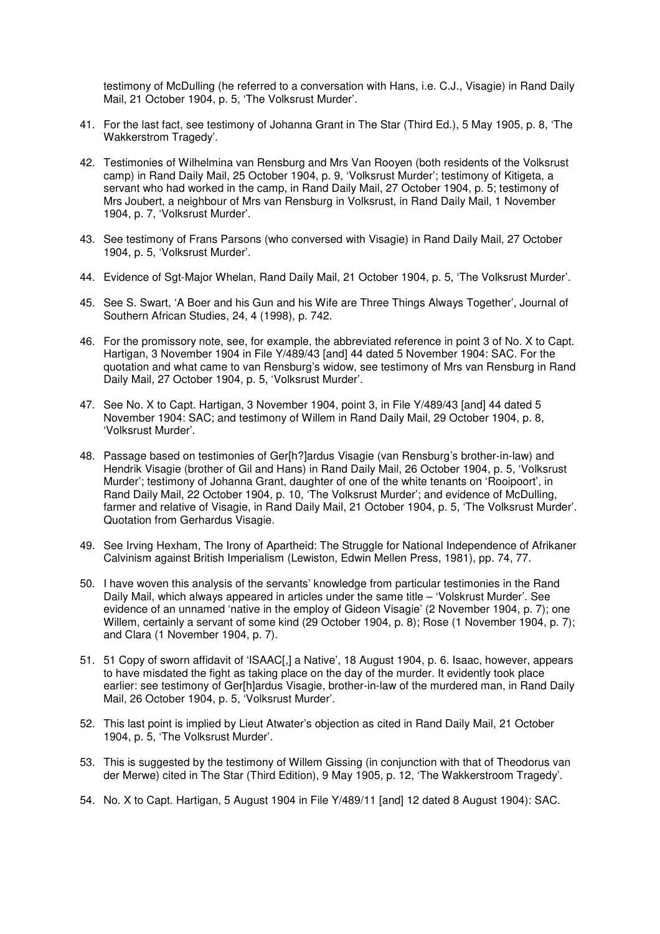testimony of McDulling (he referred to a conversation with Hans, i.e. C.J., Visagie) in Rand Daily Mail, 21 October 1904, p. 5, 'The Volksrust Murder'.

- 41. For the last fact, see testimony of Johanna Grant in The Star (Third Ed.), 5 May 1905, p. 8, 'The Wakkerstrom Tragedy'.
- 42. Testimonies of Wilhelmina van Rensburg and Mrs Van Rooyen (both residents of the Volksrust camp) in Rand Daily Mail, 25 October 1904, p. 9, 'Volksrust Murder'; testimony of Kitigeta, a servant who had worked in the camp, in Rand Daily Mail, 27 October 1904, p. 5; testimony of Mrs Joubert, a neighbour of Mrs van Rensburg in Volksrust, in Rand Daily Mail, 1 November 1904, p. 7, 'Volksrust Murder'.
- 43. See testimony of Frans Parsons (who conversed with Visagie) in Rand Daily Mail, 27 October 1904, p. 5, 'Volksrust Murder'.
- 44. Evidence of Sgt-Major Whelan, Rand Daily Mail, 21 October 1904, p. 5, 'The Volksrust Murder'.
- 45. See S. Swart, 'A Boer and his Gun and his Wife are Three Things Always Together', Journal of Southern African Studies, 24, 4 (1998), p. 742.
- 46. For the promissory note, see, for example, the abbreviated reference in point 3 of No. X to Capt. Hartigan, 3 November 1904 in File Y/489/43 [and] 44 dated 5 November 1904: SAC. For the quotation and what came to van Rensburg's widow, see testimony of Mrs van Rensburg in Rand Daily Mail, 27 October 1904, p. 5, 'Volksrust Murder'.
- 47. See No. X to Capt. Hartigan, 3 November 1904, point 3, in File Y/489/43 [and] 44 dated 5 November 1904: SAC; and testimony of Willem in Rand Daily Mail, 29 October 1904, p. 8, 'Volksrust Murder'.
- 48. Passage based on testimonies of Ger[h?]ardus Visagie (van Rensburg's brother-in-law) and Hendrik Visagie (brother of Gil and Hans) in Rand Daily Mail, 26 October 1904, p. 5, 'Volksrust Murder'; testimony of Johanna Grant, daughter of one of the white tenants on 'Rooipoort', in Rand Daily Mail, 22 October 1904, p. 10, 'The Volksrust Murder'; and evidence of McDulling, farmer and relative of Visagie, in Rand Daily Mail, 21 October 1904, p. 5, 'The Volksrust Murder'. Quotation from Gerhardus Visagie.
- 49. See Irving Hexham, The Irony of Apartheid: The Struggle for National Independence of Afrikaner Calvinism against British Imperialism (Lewiston, Edwin Mellen Press, 1981), pp. 74, 77.
- 50. I have woven this analysis of the servants' knowledge from particular testimonies in the Rand Daily Mail, which always appeared in articles under the same title – 'Volskrust Murder'. See evidence of an unnamed 'native in the employ of Gideon Visagie' (2 November 1904, p. 7); one Willem, certainly a servant of some kind (29 October 1904, p. 8); Rose (1 November 1904, p. 7); and Clara (1 November 1904, p. 7).
- 51. 51 Copy of sworn affidavit of 'ISAAC[,] a Native', 18 August 1904, p. 6. Isaac, however, appears to have misdated the fight as taking place on the day of the murder. It evidently took place earlier: see testimony of Ger[h]ardus Visagie, brother-in-law of the murdered man, in Rand Daily Mail, 26 October 1904, p. 5, 'Volksrust Murder'.
- 52. This last point is implied by Lieut Atwater's objection as cited in Rand Daily Mail, 21 October 1904, p. 5, 'The Volksrust Murder'.
- 53. This is suggested by the testimony of Willem Gissing (in conjunction with that of Theodorus van der Merwe) cited in The Star (Third Edition), 9 May 1905, p. 12, 'The Wakkerstroom Tragedy'.
- 54. No. X to Capt. Hartigan, 5 August 1904 in File Y/489/11 [and] 12 dated 8 August 1904): SAC.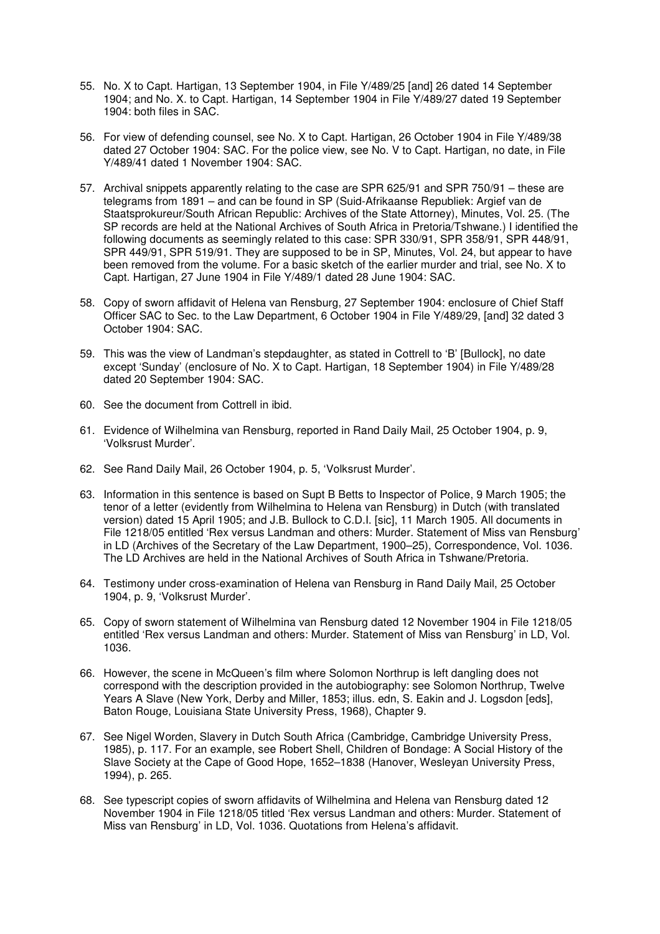- 55. No. X to Capt. Hartigan, 13 September 1904, in File Y/489/25 [and] 26 dated 14 September 1904; and No. X. to Capt. Hartigan, 14 September 1904 in File Y/489/27 dated 19 September 1904: both files in SAC.
- 56. For view of defending counsel, see No. X to Capt. Hartigan, 26 October 1904 in File Y/489/38 dated 27 October 1904: SAC. For the police view, see No. V to Capt. Hartigan, no date, in File Y/489/41 dated 1 November 1904: SAC.
- 57. Archival snippets apparently relating to the case are SPR 625/91 and SPR 750/91 these are telegrams from 1891 – and can be found in SP (Suid-Afrikaanse Republiek: Argief van de Staatsprokureur/South African Republic: Archives of the State Attorney), Minutes, Vol. 25. (The SP records are held at the National Archives of South Africa in Pretoria/Tshwane.) I identified the following documents as seemingly related to this case: SPR 330/91, SPR 358/91, SPR 448/91, SPR 449/91, SPR 519/91. They are supposed to be in SP, Minutes, Vol. 24, but appear to have been removed from the volume. For a basic sketch of the earlier murder and trial, see No. X to Capt. Hartigan, 27 June 1904 in File Y/489/1 dated 28 June 1904: SAC.
- 58. Copy of sworn affidavit of Helena van Rensburg, 27 September 1904: enclosure of Chief Staff Officer SAC to Sec. to the Law Department, 6 October 1904 in File Y/489/29, [and] 32 dated 3 October 1904: SAC.
- 59. This was the view of Landman's stepdaughter, as stated in Cottrell to 'B' [Bullock], no date except 'Sunday' (enclosure of No. X to Capt. Hartigan, 18 September 1904) in File Y/489/28 dated 20 September 1904: SAC.
- 60. See the document from Cottrell in ibid.
- 61. Evidence of Wilhelmina van Rensburg, reported in Rand Daily Mail, 25 October 1904, p. 9, 'Volksrust Murder'.
- 62. See Rand Daily Mail, 26 October 1904, p. 5, 'Volksrust Murder'.
- 63. Information in this sentence is based on Supt B Betts to Inspector of Police, 9 March 1905; the tenor of a letter (evidently from Wilhelmina to Helena van Rensburg) in Dutch (with translated version) dated 15 April 1905; and J.B. Bullock to C.D.I. [sic], 11 March 1905. All documents in File 1218/05 entitled 'Rex versus Landman and others: Murder. Statement of Miss van Rensburg' in LD (Archives of the Secretary of the Law Department, 1900–25), Correspondence, Vol. 1036. The LD Archives are held in the National Archives of South Africa in Tshwane/Pretoria.
- 64. Testimony under cross-examination of Helena van Rensburg in Rand Daily Mail, 25 October 1904, p. 9, 'Volksrust Murder'.
- 65. Copy of sworn statement of Wilhelmina van Rensburg dated 12 November 1904 in File 1218/05 entitled 'Rex versus Landman and others: Murder. Statement of Miss van Rensburg' in LD, Vol. 1036.
- 66. However, the scene in McQueen's film where Solomon Northrup is left dangling does not correspond with the description provided in the autobiography: see Solomon Northrup, Twelve Years A Slave (New York, Derby and Miller, 1853; illus. edn, S. Eakin and J. Logsdon [eds], Baton Rouge, Louisiana State University Press, 1968), Chapter 9.
- 67. See Nigel Worden, Slavery in Dutch South Africa (Cambridge, Cambridge University Press, 1985), p. 117. For an example, see Robert Shell, Children of Bondage: A Social History of the Slave Society at the Cape of Good Hope, 1652–1838 (Hanover, Wesleyan University Press, 1994), p. 265.
- 68. See typescript copies of sworn affidavits of Wilhelmina and Helena van Rensburg dated 12 November 1904 in File 1218/05 titled 'Rex versus Landman and others: Murder. Statement of Miss van Rensburg' in LD, Vol. 1036. Quotations from Helena's affidavit.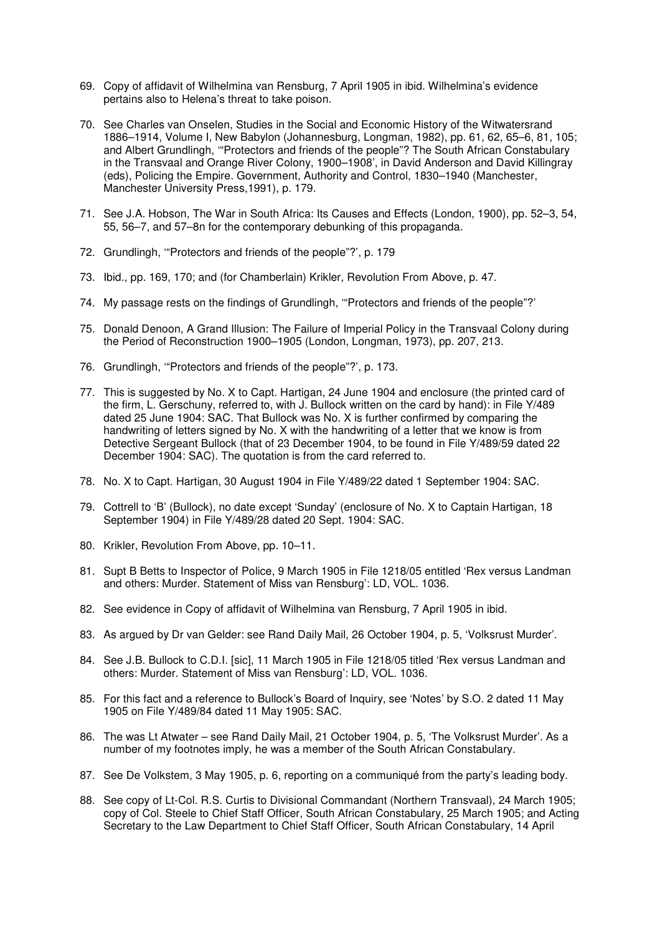- 69. Copy of affidavit of Wilhelmina van Rensburg, 7 April 1905 in ibid. Wilhelmina's evidence pertains also to Helena's threat to take poison.
- 70. See Charles van Onselen, Studies in the Social and Economic History of the Witwatersrand 1886–1914, Volume I, New Babylon (Johannesburg, Longman, 1982), pp. 61, 62, 65–6, 81, 105; and Albert Grundlingh, '"Protectors and friends of the people"? The South African Constabulary in the Transvaal and Orange River Colony, 1900–1908', in David Anderson and David Killingray (eds), Policing the Empire. Government, Authority and Control, 1830–1940 (Manchester, Manchester University Press,1991), p. 179.
- 71. See J.A. Hobson, The War in South Africa: Its Causes and Effects (London, 1900), pp. 52–3, 54, 55, 56–7, and 57–8n for the contemporary debunking of this propaganda.
- 72. Grundlingh, '"Protectors and friends of the people"?', p. 179
- 73. Ibid., pp. 169, 170; and (for Chamberlain) Krikler, Revolution From Above, p. 47.
- 74. My passage rests on the findings of Grundlingh, '"Protectors and friends of the people"?'
- 75. Donald Denoon, A Grand Illusion: The Failure of Imperial Policy in the Transvaal Colony during the Period of Reconstruction 1900–1905 (London, Longman, 1973), pp. 207, 213.
- 76. Grundlingh, '"Protectors and friends of the people"?', p. 173.
- 77. This is suggested by No. X to Capt. Hartigan, 24 June 1904 and enclosure (the printed card of the firm, L. Gerschuny, referred to, with J. Bullock written on the card by hand): in File Y/489 dated 25 June 1904: SAC. That Bullock was No. X is further confirmed by comparing the handwriting of letters signed by No. X with the handwriting of a letter that we know is from Detective Sergeant Bullock (that of 23 December 1904, to be found in File Y/489/59 dated 22 December 1904: SAC). The quotation is from the card referred to.
- 78. No. X to Capt. Hartigan, 30 August 1904 in File Y/489/22 dated 1 September 1904: SAC.
- 79. Cottrell to 'B' (Bullock), no date except 'Sunday' (enclosure of No. X to Captain Hartigan, 18 September 1904) in File Y/489/28 dated 20 Sept. 1904: SAC.
- 80. Krikler, Revolution From Above, pp. 10–11.
- 81. Supt B Betts to Inspector of Police, 9 March 1905 in File 1218/05 entitled 'Rex versus Landman and others: Murder. Statement of Miss van Rensburg': LD, VOL. 1036.
- 82. See evidence in Copy of affidavit of Wilhelmina van Rensburg, 7 April 1905 in ibid.
- 83. As argued by Dr van Gelder: see Rand Daily Mail, 26 October 1904, p. 5, 'Volksrust Murder'.
- 84. See J.B. Bullock to C.D.I. [sic], 11 March 1905 in File 1218/05 titled 'Rex versus Landman and others: Murder. Statement of Miss van Rensburg': LD, VOL. 1036.
- 85. For this fact and a reference to Bullock's Board of Inquiry, see 'Notes' by S.O. 2 dated 11 May 1905 on File Y/489/84 dated 11 May 1905: SAC.
- 86. The was Lt Atwater see Rand Daily Mail, 21 October 1904, p. 5, 'The Volksrust Murder'. As a number of my footnotes imply, he was a member of the South African Constabulary.
- 87. See De Volkstem, 3 May 1905, p. 6, reporting on a communiqué from the party's leading body.
- 88. See copy of Lt-Col. R.S. Curtis to Divisional Commandant (Northern Transvaal), 24 March 1905; copy of Col. Steele to Chief Staff Officer, South African Constabulary, 25 March 1905; and Acting Secretary to the Law Department to Chief Staff Officer, South African Constabulary, 14 April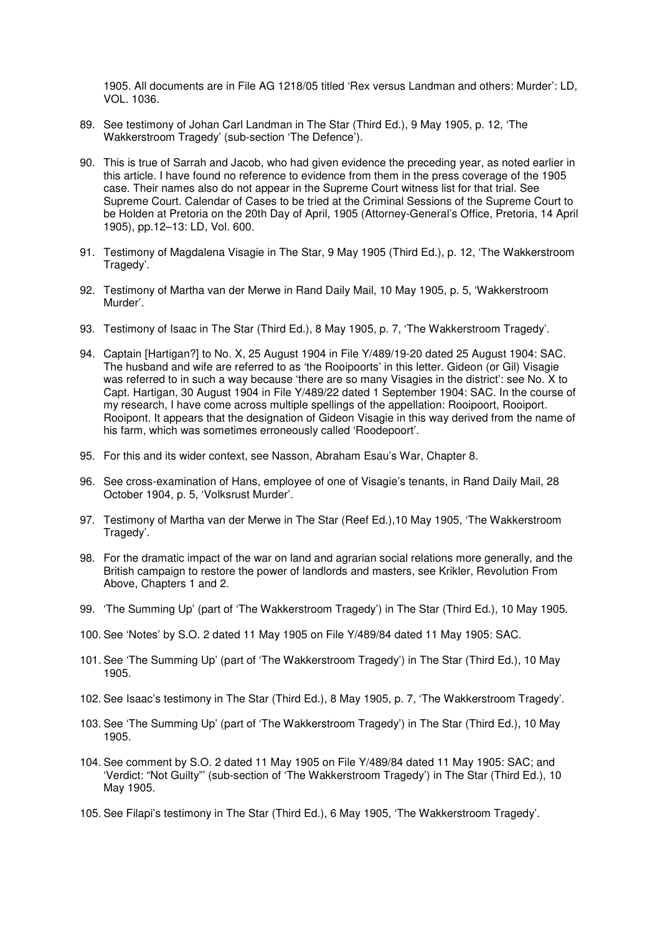1905. All documents are in File AG 1218/05 titled 'Rex versus Landman and others: Murder': LD, VOL. 1036.

- 89. See testimony of Johan Carl Landman in The Star (Third Ed.), 9 May 1905, p. 12, 'The Wakkerstroom Tragedy' (sub-section 'The Defence').
- 90. This is true of Sarrah and Jacob, who had given evidence the preceding year, as noted earlier in this article. I have found no reference to evidence from them in the press coverage of the 1905 case. Their names also do not appear in the Supreme Court witness list for that trial. See Supreme Court. Calendar of Cases to be tried at the Criminal Sessions of the Supreme Court to be Holden at Pretoria on the 20th Day of April, 1905 (Attorney-General's Office, Pretoria, 14 April 1905), pp.12–13: LD, Vol. 600.
- 91. Testimony of Magdalena Visagie in The Star, 9 May 1905 (Third Ed.), p. 12, 'The Wakkerstroom Tragedy'.
- 92. Testimony of Martha van der Merwe in Rand Daily Mail, 10 May 1905, p. 5, 'Wakkerstroom Murder'.
- 93. Testimony of Isaac in The Star (Third Ed.), 8 May 1905, p. 7, 'The Wakkerstroom Tragedy'.
- 94. Captain [Hartigan?] to No. X, 25 August 1904 in File Y/489/19-20 dated 25 August 1904: SAC. The husband and wife are referred to as 'the Rooipoorts' in this letter. Gideon (or Gil) Visagie was referred to in such a way because 'there are so many Visagies in the district': see No. X to Capt. Hartigan, 30 August 1904 in File Y/489/22 dated 1 September 1904: SAC. In the course of my research, I have come across multiple spellings of the appellation: Rooipoort, Rooiport. Rooipont. It appears that the designation of Gideon Visagie in this way derived from the name of his farm, which was sometimes erroneously called 'Roodepoort'.
- 95. For this and its wider context, see Nasson, Abraham Esau's War, Chapter 8.
- 96. See cross-examination of Hans, employee of one of Visagie's tenants, in Rand Daily Mail, 28 October 1904, p. 5, 'Volksrust Murder'.
- 97. Testimony of Martha van der Merwe in The Star (Reef Ed.),10 May 1905, 'The Wakkerstroom Tragedy'.
- 98. For the dramatic impact of the war on land and agrarian social relations more generally, and the British campaign to restore the power of landlords and masters, see Krikler, Revolution From Above, Chapters 1 and 2.
- 99. 'The Summing Up' (part of 'The Wakkerstroom Tragedy') in The Star (Third Ed.), 10 May 1905.
- 100. See 'Notes' by S.O. 2 dated 11 May 1905 on File Y/489/84 dated 11 May 1905: SAC.
- 101. See 'The Summing Up' (part of 'The Wakkerstroom Tragedy') in The Star (Third Ed.), 10 May 1905.
- 102. See Isaac's testimony in The Star (Third Ed.), 8 May 1905, p. 7, 'The Wakkerstroom Tragedy'.
- 103. See 'The Summing Up' (part of 'The Wakkerstroom Tragedy') in The Star (Third Ed.), 10 May 1905.
- 104. See comment by S.O. 2 dated 11 May 1905 on File Y/489/84 dated 11 May 1905: SAC; and 'Verdict: "Not Guilty"' (sub-section of 'The Wakkerstroom Tragedy') in The Star (Third Ed.), 10 May 1905.
- 105. See Filapi's testimony in The Star (Third Ed.), 6 May 1905, 'The Wakkerstroom Tragedy'.